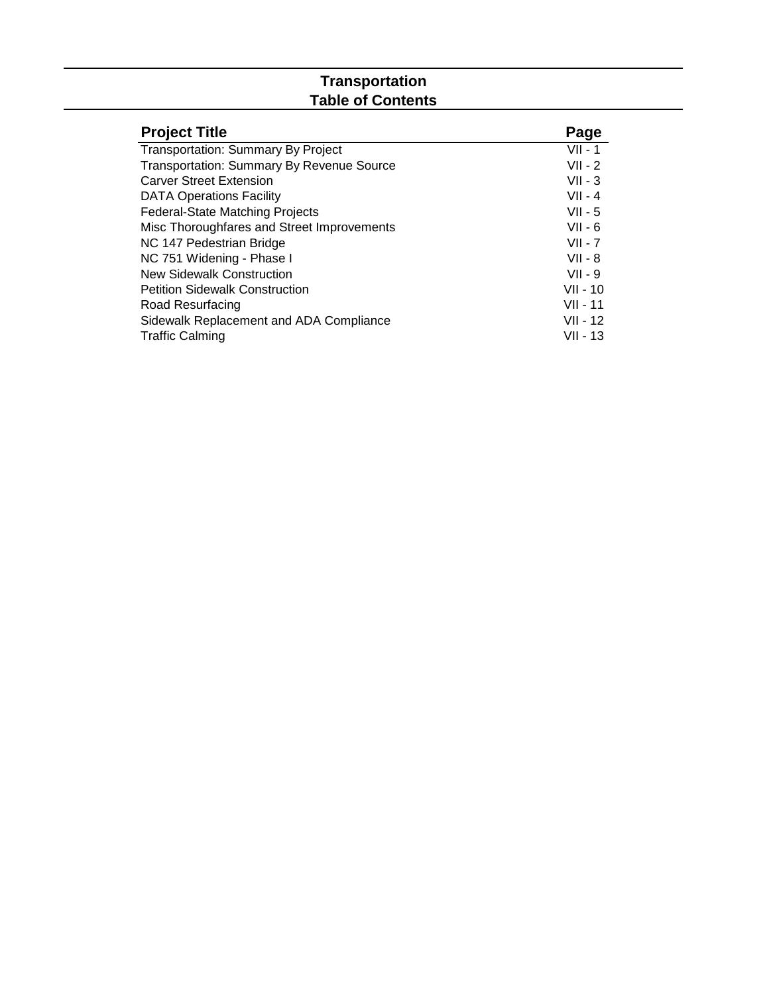#### **Transportation Table of Contents**

| <b>Project Title</b>                       | Page       |
|--------------------------------------------|------------|
| <b>Transportation: Summary By Project</b>  | $VII - 1$  |
| Transportation: Summary By Revenue Source  | $VII - 2$  |
| <b>Carver Street Extension</b>             | $VII - 3$  |
| <b>DATA Operations Facility</b>            | $VII - 4$  |
| <b>Federal-State Matching Projects</b>     | $VII - 5$  |
| Misc Thoroughfares and Street Improvements | $VII - 6$  |
| NC 147 Pedestrian Bridge                   | $VII - 7$  |
| NC 751 Widening - Phase I                  | $VII - 8$  |
| <b>New Sidewalk Construction</b>           | $VII - 9$  |
| <b>Petition Sidewalk Construction</b>      | $VII - 10$ |
| Road Resurfacing                           | VII - 11   |
| Sidewalk Replacement and ADA Compliance    | VII - 12   |
| <b>Traffic Calming</b>                     | VII - 13   |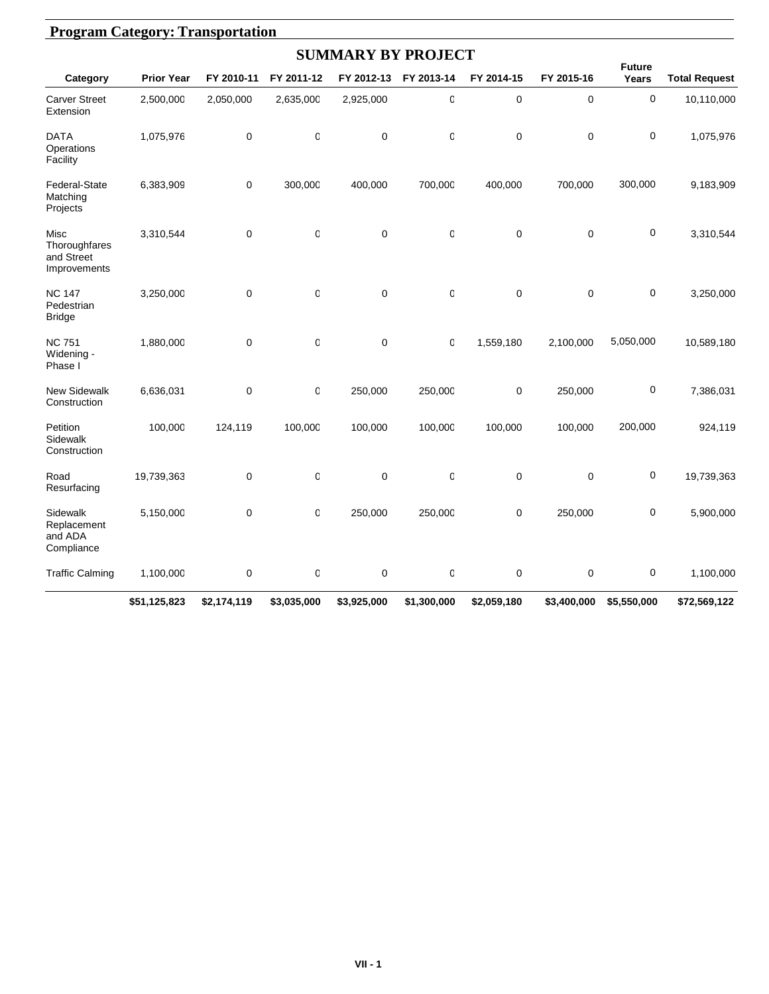|                                                     |                   |             |              | <b>SUMMARY BY PROJECT</b> |             |             |             |                        |                      |
|-----------------------------------------------------|-------------------|-------------|--------------|---------------------------|-------------|-------------|-------------|------------------------|----------------------|
| Category                                            | <b>Prior Year</b> | FY 2010-11  | FY 2011-12   | FY 2012-13                | FY 2013-14  | FY 2014-15  | FY 2015-16  | <b>Future</b><br>Years | <b>Total Request</b> |
| <b>Carver Street</b><br>Extension                   | 2,500,000         | 2,050,000   | 2,635,000    | 2,925,000                 | $\mathsf 0$ | $\mathbf 0$ | $\mathbf 0$ | 0                      | 10,110,000           |
| <b>DATA</b><br>Operations<br>Facility               | 1,075,976         | $\mathbf 0$ | O            | $\mathbf 0$               | $\mathbf 0$ | 0           | 0           | 0                      | 1,075,976            |
| Federal-State<br>Matching<br>Projects               | 6,383,909         | 0           | 300,000      | 400,000                   | 700,000     | 400,000     | 700,000     | 300,000                | 9,183,909            |
| Misc<br>Thoroughfares<br>and Street<br>Improvements | 3,310,544         | $\mathbf 0$ | $\mathbf 0$  | $\mathbf 0$               | $\mathsf 0$ | $\mathbf 0$ | $\mathbf 0$ | 0                      | 3,310,544            |
| <b>NC 147</b><br>Pedestrian<br><b>Bridge</b>        | 3,250,000         | $\mathbf 0$ | $\mathbf 0$  | $\mathbf 0$               | $\mathbf 0$ | $\mathbf 0$ | $\mathbf 0$ | 0                      | 3,250,000            |
| <b>NC 751</b><br>Widening -<br>Phase I              | 1,880,000         | $\mathbf 0$ | O            | $\mathbf 0$               | $\mathbf 0$ | 1,559,180   | 2,100,000   | 5,050,000              | 10,589,180           |
| <b>New Sidewalk</b><br>Construction                 | 6,636,031         | $\mathbf 0$ | $\mathbb{C}$ | 250,000                   | 250,000     | $\mathbf 0$ | 250,000     | 0                      | 7,386,031            |
| Petition<br>Sidewalk<br>Construction                | 100,000           | 124,119     | 100,000      | 100,000                   | 100,000     | 100,000     | 100,000     | 200,000                | 924,119              |
| Road<br>Resurfacing                                 | 19,739,363        | 0           | O            | $\mathbf 0$               | 0           | 0           | 0           | 0                      | 19,739,363           |
| Sidewalk<br>Replacement<br>and ADA<br>Compliance    | 5,150,000         | 0           | $\mathbf 0$  | 250,000                   | 250,000     | 0           | 250,000     | 0                      | 5,900,000            |
| <b>Traffic Calming</b>                              | 1,100,000         | 0           | 0            | 0                         | 0           | 0           | 0           | $\pmb{0}$              | 1,100,000            |
|                                                     | \$51,125,823      | \$2,174,119 | \$3,035,000  | \$3,925,000               | \$1,300,000 | \$2,059,180 | \$3,400,000 | \$5,550,000            | \$72,569,122         |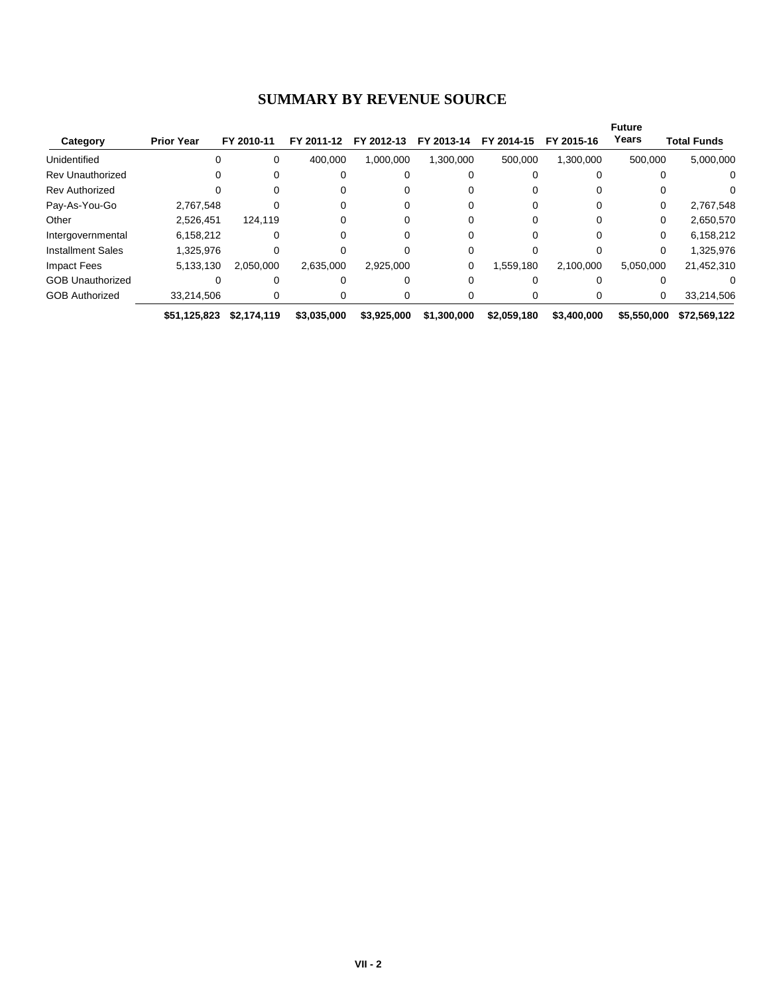#### **SUMMARY BY REVENUE SOURCE**

|                          |                   |             |             |             |             |             |             | <b>Future</b><br>Years |                    |
|--------------------------|-------------------|-------------|-------------|-------------|-------------|-------------|-------------|------------------------|--------------------|
| Category                 | <b>Prior Year</b> | FY 2010-11  | FY 2011-12  | FY 2012-13  | FY 2013-14  | FY 2014-15  | FY 2015-16  |                        | <b>Total Funds</b> |
| Unidentified             |                   | 0           | 400.000     | 1,000,000   | 1,300,000   | 500,000     | 1,300,000   | 500,000                | 5,000,000          |
| <b>Rev Unauthorized</b>  |                   | 0           |             |             |             |             |             |                        | 0                  |
| <b>Rev Authorized</b>    |                   | 0           |             |             |             |             |             |                        |                    |
| Pay-As-You-Go            | 2,767,548         |             |             |             |             |             |             | 0                      | 2,767,548          |
| Other                    | 2,526,451         | 124.119     |             |             |             |             |             | 0                      | 2,650,570          |
| Intergovernmental        | 6,158,212         |             |             |             |             |             |             | $\Omega$               | 6,158,212          |
| <b>Installment Sales</b> | 1.325.976         |             |             |             | 0           |             |             | 0                      | 1,325,976          |
| <b>Impact Fees</b>       | 5,133,130         | 2.050.000   | 2.635.000   | 2,925,000   | 0           | 1.559.180   | 2.100.000   | 5.050.000              | 21,452,310         |
| <b>GOB Unauthorized</b>  |                   |             |             |             | 0           |             |             |                        |                    |
| <b>GOB Authorized</b>    | 33,214,506        | 0           | 0           |             | O           |             |             | 0                      | 33,214,506         |
|                          | \$51,125,823      | \$2.174.119 | \$3,035,000 | \$3,925,000 | \$1,300,000 | \$2,059,180 | \$3,400,000 | \$5,550,000            | \$72,569,122       |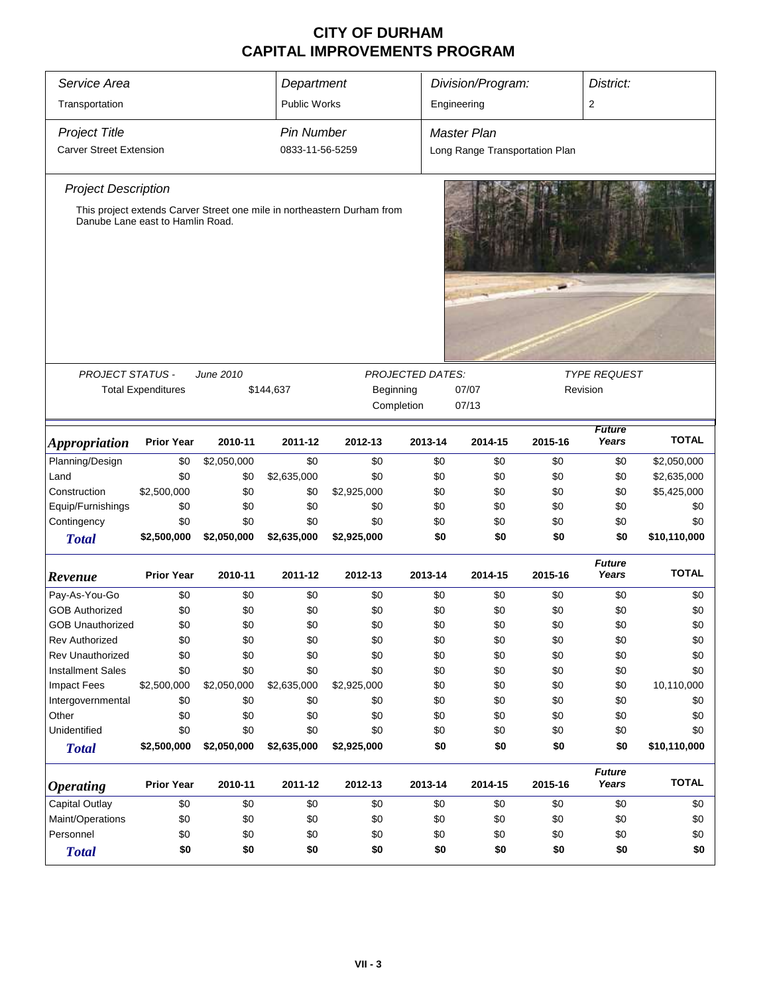| Service Area                     |                           |                                                             | Department        |                                                                         |            | Division/Program:              |         | District:              |              |
|----------------------------------|---------------------------|-------------------------------------------------------------|-------------------|-------------------------------------------------------------------------|------------|--------------------------------|---------|------------------------|--------------|
| Transportation                   |                           |                                                             | Public Works      |                                                                         |            | Engineering                    |         | $\overline{2}$         |              |
| <b>Project Title</b>             |                           |                                                             | <b>Pin Number</b> |                                                                         |            | <b>Master Plan</b>             |         |                        |              |
| <b>Carver Street Extension</b>   |                           |                                                             | 0833-11-56-5259   |                                                                         |            | Long Range Transportation Plan |         |                        |              |
|                                  |                           |                                                             |                   |                                                                         |            |                                |         |                        |              |
| <b>Project Description</b>       |                           |                                                             |                   |                                                                         |            |                                |         |                        |              |
| Danube Lane east to Hamlin Road. |                           |                                                             |                   | This project extends Carver Street one mile in northeastern Durham from |            |                                |         |                        |              |
|                                  |                           |                                                             |                   |                                                                         |            |                                |         |                        |              |
| <b>PROJECT STATUS -</b>          |                           | June 2010<br><b>PROJECTED DATES:</b><br><b>TYPE REQUEST</b> |                   |                                                                         |            |                                |         |                        |              |
|                                  | <b>Total Expenditures</b> |                                                             | \$144,637         | Beginning                                                               | Completion | 07/07<br>Revision<br>07/13     |         |                        |              |
|                                  |                           |                                                             |                   |                                                                         |            |                                |         |                        |              |
| <b>Appropriation</b>             | <b>Prior Year</b>         | 2010-11                                                     | 2011-12           | 2012-13                                                                 | 2013-14    | 2014-15                        | 2015-16 | <b>Future</b><br>Years | <b>TOTAL</b> |
| Planning/Design                  | \$0                       | \$2,050,000                                                 | \$0               | \$0                                                                     | \$0        | \$0                            | \$0     | \$0                    | \$2,050,000  |
| Land                             | \$0                       | \$0                                                         | \$2,635,000       | \$0                                                                     | \$0        | \$0                            | \$0     | \$0                    | \$2,635,000  |
| Construction                     | \$2,500,000               | \$0                                                         | \$0               | \$2,925,000                                                             | \$0        | \$0                            | \$0     | \$0                    | \$5,425,000  |
| Equip/Furnishings                | \$0                       | \$0                                                         | \$0               | \$0                                                                     | \$0        | \$0                            | \$0     | \$0                    | \$0          |
| Contingency                      | \$0                       | \$0                                                         | \$0               | \$0                                                                     | \$0        | \$0                            | \$0     | \$0                    | \$0          |
| <b>Total</b>                     | \$2,500,000               | \$2,050,000                                                 | \$2,635,000       | \$2,925,000                                                             | \$0        | \$0                            | \$0     | \$0                    | \$10,110,000 |
| Revenue                          | <b>Prior Year</b>         | 2010-11                                                     | 2011-12           | 2012-13                                                                 | 2013-14    | 2014-15                        | 2015-16 | <b>Future</b><br>Years | <b>TOTAL</b> |
| Pay-As-You-Go                    | \$0                       | \$0                                                         | \$0               | \$0                                                                     | \$0        | \$0                            | \$0     | \$0                    | \$0          |
| <b>GOB Authorized</b>            | \$0                       | \$0                                                         | \$0               | \$0                                                                     | \$0        | \$0                            | \$0     | \$0                    | \$0          |
| <b>GOB Unauthorized</b>          | \$0                       | \$0                                                         | \$0               | \$0                                                                     | \$0        | \$0                            | \$0     | \$0                    | \$0          |
| Rev Authorized                   | \$0                       | \$0                                                         | \$0               | \$0                                                                     | \$0        | \$0                            | \$0     | \$0                    | \$0          |
| <b>Rev Unauthorized</b>          | \$0                       | \$0                                                         | \$0               | \$0                                                                     | \$0        | \$0                            | \$0     | \$0                    | \$0          |
| <b>Installment Sales</b>         | \$0                       | \$0                                                         | \$0               | \$0                                                                     | \$0        | \$0                            | \$0     | \$0                    | \$0          |
| <b>Impact Fees</b>               | \$2,500,000               | \$2,050,000                                                 | \$2,635,000       | \$2,925,000                                                             | \$0        | \$0                            | \$0     | \$0                    | 10,110,000   |
| Intergovernmental                | \$0                       | \$0                                                         | \$0               | \$0                                                                     | \$0        | \$0                            | \$0     | \$0                    | \$0          |
| Other                            | \$0                       | \$0                                                         | \$0               | \$0                                                                     | \$0        | \$0                            | \$0     | \$0                    | \$0          |
| Unidentified                     | \$0                       | \$0                                                         | \$0               | \$0                                                                     | \$0        | \$0                            | \$0     | \$0                    | \$0          |
| <b>Total</b>                     | \$2,500,000               | \$2,050,000                                                 | \$2,635,000       | \$2,925,000                                                             | \$0        | \$0                            | \$0     | \$0                    | \$10,110,000 |
| <b>Operating</b>                 | <b>Prior Year</b>         | 2010-11                                                     | 2011-12           | 2012-13                                                                 | 2013-14    | 2014-15                        | 2015-16 | <b>Future</b><br>Years | <b>TOTAL</b> |
| Capital Outlay                   | \$0                       | \$0                                                         | \$0               | \$0                                                                     | \$0        | \$0                            | \$0     | \$0                    | \$0          |
| Maint/Operations                 | \$0                       | \$0                                                         | \$0               | \$0                                                                     | \$0        | \$0                            | \$0     | \$0                    | \$0          |
| Personnel                        | \$0                       | \$0                                                         | \$0               | \$0                                                                     | \$0        | \$0                            | \$0     | \$0                    | \$0          |
| <b>Total</b>                     | \$0                       | \$0                                                         | \$0               | \$0                                                                     | \$0        | \$0                            | \$0     | \$0                    | \$0          |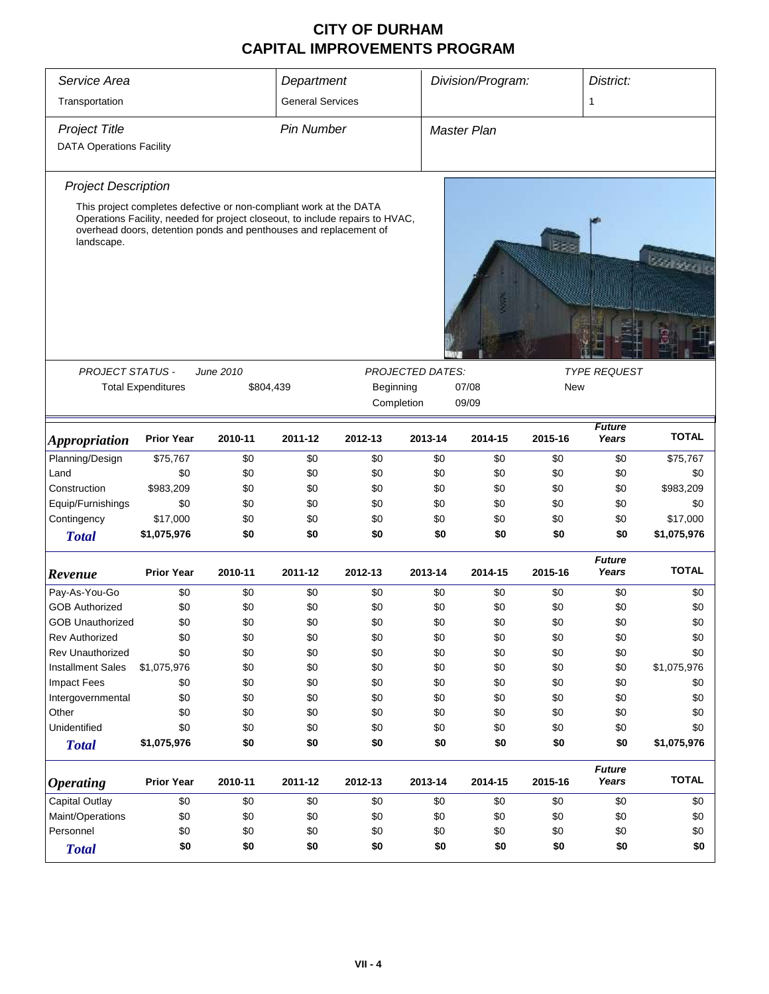| Service Area                    |                                                                                                                                         |           | Department              |                                                                               |                         | Division/Program:  |         |                        |                 |
|---------------------------------|-----------------------------------------------------------------------------------------------------------------------------------------|-----------|-------------------------|-------------------------------------------------------------------------------|-------------------------|--------------------|---------|------------------------|-----------------|
| Transportation                  |                                                                                                                                         |           | <b>General Services</b> |                                                                               |                         |                    |         | 1                      |                 |
| <b>Project Title</b>            |                                                                                                                                         |           | <b>Pin Number</b>       |                                                                               |                         | <b>Master Plan</b> |         |                        |                 |
| <b>DATA Operations Facility</b> |                                                                                                                                         |           |                         |                                                                               |                         |                    |         |                        |                 |
| <b>Project Description</b>      |                                                                                                                                         |           |                         |                                                                               |                         |                    |         |                        |                 |
| landscape.                      | This project completes defective or non-compliant work at the DATA<br>overhead doors, detention ponds and penthouses and replacement of |           |                         | Operations Facility, needed for project closeout, to include repairs to HVAC, |                         |                    |         |                        | <b>Storages</b> |
|                                 |                                                                                                                                         |           |                         |                                                                               |                         |                    |         |                        |                 |
| <b>PROJECT STATUS -</b>         |                                                                                                                                         | June 2010 |                         |                                                                               | <b>PROJECTED DATES:</b> |                    |         | <b>TYPE REQUEST</b>    |                 |
|                                 | <b>Total Expenditures</b>                                                                                                               |           | \$804,439               | Beginning                                                                     |                         | 07/08<br>09/09     | New     |                        |                 |
|                                 |                                                                                                                                         |           |                         | Completion                                                                    |                         |                    |         |                        |                 |
| <i><b>Appropriation</b></i>     | <b>Prior Year</b>                                                                                                                       | 2010-11   | 2011-12                 | 2012-13                                                                       | 2013-14                 | 2014-15            | 2015-16 | <b>Future</b><br>Years | <b>TOTAL</b>    |
| Planning/Design                 | \$75,767                                                                                                                                | \$0       | \$0                     | \$0                                                                           | \$0                     | \$0                | \$0     | \$0                    | \$75,767        |
| Land                            | \$0                                                                                                                                     | \$0       | \$0                     | \$0                                                                           | \$0                     | \$0                | \$0     | \$0                    | \$0             |
| Construction                    | \$983,209                                                                                                                               | \$0       | \$0                     | \$0                                                                           | \$0                     | \$0                | \$0     | \$0                    | \$983,209       |
| Equip/Furnishings               | \$0                                                                                                                                     | \$0       | \$0                     | \$0                                                                           | \$0                     | \$0                | \$0     | \$0                    | \$0             |
| Contingency                     | \$17,000                                                                                                                                | \$0       | \$0                     | \$0                                                                           | \$0                     | \$0                | \$0     | \$0                    | \$17,000        |
| <b>Total</b>                    | \$1,075,976                                                                                                                             | \$0       | \$0                     | \$0                                                                           | \$0                     | \$0                | \$0     | \$0                    | \$1,075,976     |
| Revenue                         | <b>Prior Year</b>                                                                                                                       | 2010-11   | 2011-12                 | 2012-13                                                                       | 2013-14                 | 2014-15            | 2015-16 | <b>Future</b><br>Years | <b>TOTAL</b>    |
| Pay-As-You-Go                   | \$0                                                                                                                                     | \$0       | \$0                     | \$0                                                                           | \$0                     | \$0                | \$0     | \$0                    | \$0             |
| <b>GOB Authorized</b>           | \$0                                                                                                                                     | \$0       | \$0                     | \$0                                                                           | \$0                     | \$0                | \$0     | \$0                    | \$0             |
| <b>GOB Unauthorized</b>         | \$0                                                                                                                                     | \$0       | \$0                     | \$0                                                                           | \$0                     | \$0                | \$0     | \$0                    | \$0             |
| <b>Rev Authorized</b>           | \$0                                                                                                                                     | \$0       | \$0                     | \$0                                                                           | \$0                     | \$0                | \$0     | \$0                    | \$0             |
| Rev Unauthorized                | \$0                                                                                                                                     | \$0       | \$0                     | \$0                                                                           | \$0                     | \$0                | \$0     | \$0                    | \$0             |
| <b>Installment Sales</b>        | \$1,075,976                                                                                                                             | \$0       | \$0                     | \$0                                                                           | \$0                     | \$0                | \$0     | \$0                    | \$1,075,976     |
| <b>Impact Fees</b>              | \$0                                                                                                                                     | \$0       | \$0                     | \$0                                                                           | \$0                     | \$0                | \$0     | \$0                    | \$0             |
| Intergovernmental               | \$0                                                                                                                                     | \$0       | \$0                     | \$0                                                                           | \$0                     | \$0                | \$0     | \$0                    | \$0             |
| Other                           | \$0                                                                                                                                     | \$0       | \$0                     | \$0                                                                           | \$0                     | \$0                | \$0     | \$0                    | \$0             |
| Unidentified                    | \$0                                                                                                                                     | \$0       | \$0                     | \$0                                                                           | \$0                     | \$0                | \$0     | \$0                    | \$0             |
| <b>Total</b>                    | \$1,075,976                                                                                                                             | \$0       | \$0                     | \$0                                                                           | \$0                     | \$0                | \$0     | \$0                    | \$1,075,976     |
| <b>Operating</b>                | <b>Prior Year</b>                                                                                                                       | 2010-11   | 2011-12                 | 2012-13                                                                       | 2013-14                 | 2014-15            | 2015-16 | <b>Future</b><br>Years | <b>TOTAL</b>    |
| Capital Outlay                  | \$0                                                                                                                                     | \$0       | \$0                     | \$0                                                                           | \$0                     | \$0                | \$0     | \$0                    | \$0             |
| Maint/Operations                | \$0                                                                                                                                     | \$0       | \$0                     | \$0                                                                           | \$0                     | \$0                | \$0     | \$0                    | \$0             |
| Personnel                       | \$0                                                                                                                                     | \$0       | \$0                     | \$0                                                                           | \$0                     | \$0                | \$0     | \$0                    | \$0             |
| <b>Total</b>                    | \$0                                                                                                                                     | \$0       | \$0                     | \$0                                                                           | \$0                     | \$0                | \$0     | \$0                    | \$0             |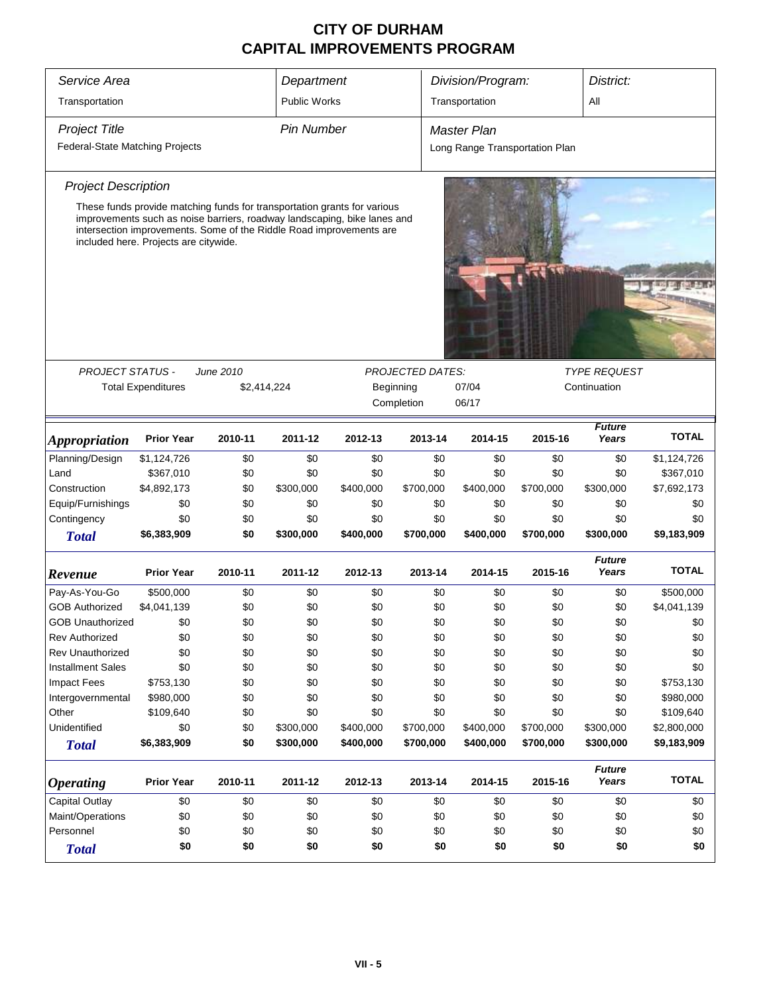| Service Area                    | Department                                                                                                                                                                               |             | Division/Program:   |           | District:               |                                |           |                        |              |
|---------------------------------|------------------------------------------------------------------------------------------------------------------------------------------------------------------------------------------|-------------|---------------------|-----------|-------------------------|--------------------------------|-----------|------------------------|--------------|
| Transportation                  |                                                                                                                                                                                          |             | <b>Public Works</b> |           |                         | Transportation                 |           | All                    |              |
| <b>Project Title</b>            |                                                                                                                                                                                          |             | <b>Pin Number</b>   |           |                         | <b>Master Plan</b>             |           |                        |              |
| Federal-State Matching Projects |                                                                                                                                                                                          |             |                     |           |                         | Long Range Transportation Plan |           |                        |              |
| <b>Project Description</b>      |                                                                                                                                                                                          |             |                     |           |                         |                                |           |                        |              |
|                                 | These funds provide matching funds for transportation grants for various                                                                                                                 |             |                     |           |                         |                                |           |                        |              |
|                                 | improvements such as noise barriers, roadway landscaping, bike lanes and<br>intersection improvements. Some of the Riddle Road improvements are<br>included here. Projects are citywide. |             |                     |           |                         |                                |           |                        |              |
|                                 |                                                                                                                                                                                          |             |                     |           |                         |                                |           |                        |              |
|                                 |                                                                                                                                                                                          |             |                     |           |                         |                                |           |                        |              |
|                                 |                                                                                                                                                                                          |             |                     |           |                         |                                |           |                        |              |
|                                 |                                                                                                                                                                                          |             |                     |           |                         |                                |           |                        |              |
| <b>PROJECT STATUS -</b>         |                                                                                                                                                                                          | June 2010   |                     |           | <b>PROJECTED DATES:</b> |                                |           | <b>TYPE REQUEST</b>    |              |
|                                 | <b>Total Expenditures</b>                                                                                                                                                                | \$2,414,224 |                     |           | Beginning               | 07/04                          |           | Continuation           |              |
|                                 |                                                                                                                                                                                          |             |                     |           | Completion              | 06/17                          |           |                        |              |
| <i><b>Appropriation</b></i>     | <b>Prior Year</b>                                                                                                                                                                        | 2010-11     | 2011-12             | 2012-13   | 2013-14                 | 2014-15                        | 2015-16   | <b>Future</b><br>Years | <b>TOTAL</b> |
| Planning/Design                 | \$1,124,726                                                                                                                                                                              | \$0         | \$0                 | \$0       | \$0                     | \$0                            | \$0       | \$0                    | \$1,124,726  |
| Land                            | \$367,010                                                                                                                                                                                | \$0         | \$0                 | \$0       | \$0                     | \$0                            | \$0       | \$0                    | \$367,010    |
| Construction                    | \$4,892,173                                                                                                                                                                              | \$0         | \$300,000           | \$400,000 | \$700,000               | \$400,000                      | \$700,000 | \$300,000              | \$7,692,173  |
| Equip/Furnishings               | \$0                                                                                                                                                                                      | \$0         | \$0                 | \$0       | \$0                     | \$0                            | \$0       | \$0                    | \$0          |
| Contingency                     | \$0                                                                                                                                                                                      | \$0         | \$0                 | \$0       | \$0                     | \$0                            | \$0       | \$0                    | \$0          |
| <b>Total</b>                    | \$6,383,909                                                                                                                                                                              | \$0         | \$300,000           | \$400,000 | \$700,000               | \$400,000                      | \$700,000 | \$300,000              | \$9,183,909  |
| Revenue                         | <b>Prior Year</b>                                                                                                                                                                        | 2010-11     | 2011-12             | 2012-13   | 2013-14                 | 2014-15                        | 2015-16   | <b>Future</b><br>Years | <b>TOTAL</b> |
| Pay-As-You-Go                   | \$500,000                                                                                                                                                                                | \$0         | \$0                 | \$0       | \$0                     | \$0                            | \$0       | \$0                    | \$500,000    |
| <b>GOB Authorized</b>           | \$4,041,139                                                                                                                                                                              | \$0         | \$0                 | \$0       | \$0                     | \$0                            | \$0       | \$0                    | \$4,041,139  |
| <b>GOB Unauthorized</b>         | \$0                                                                                                                                                                                      | \$0         | \$0                 | \$0       | \$0                     | \$0                            | \$0       | \$0                    | \$0          |
| <b>Rev Authorized</b>           | \$0                                                                                                                                                                                      | \$0         | \$0                 | \$0       | \$0                     | \$0                            | \$0       | \$0                    | \$0          |
| Rev Unauthorized                | \$0                                                                                                                                                                                      | \$0         | \$0                 | \$0       | \$0                     | \$0                            | \$0       | \$0                    | \$0          |
| <b>Installment Sales</b>        | \$0                                                                                                                                                                                      | \$0         | \$0                 | \$0       | \$0                     | \$0                            | \$0       | \$0                    | \$0          |
| <b>Impact Fees</b>              | \$753,130                                                                                                                                                                                | \$0         | \$0                 | \$0       | \$0                     | \$0                            | \$0       | \$0                    | \$753,130    |
| Intergovernmental               | \$980,000                                                                                                                                                                                | \$0         | \$0                 | \$0       | \$0                     | \$0                            | \$0       | \$0                    | \$980,000    |
| Other                           | \$109,640                                                                                                                                                                                | \$0         | \$0                 | \$0       | \$0                     | \$0                            | \$0       | \$0                    | \$109,640    |
| Unidentified                    | \$0                                                                                                                                                                                      | \$0         | \$300,000           | \$400,000 | \$700,000               | \$400,000                      | \$700,000 | \$300,000              | \$2,800,000  |
| <b>Total</b>                    | \$6,383,909                                                                                                                                                                              | \$0         | \$300,000           | \$400,000 | \$700,000               | \$400,000                      | \$700,000 | \$300,000              | \$9,183,909  |
| <i><b>Operating</b></i>         | <b>Prior Year</b>                                                                                                                                                                        | 2010-11     | 2011-12             | 2012-13   | 2013-14                 | 2014-15                        | 2015-16   | <b>Future</b><br>Years | <b>TOTAL</b> |
| Capital Outlay                  | \$0                                                                                                                                                                                      | \$0         | \$0                 | \$0       | \$0                     | \$0                            | \$0       | \$0                    | \$0          |
| Maint/Operations                | \$0                                                                                                                                                                                      | \$0         | \$0                 | \$0       | \$0                     | \$0                            | \$0       | \$0                    | \$0          |
| Personnel                       | \$0                                                                                                                                                                                      | \$0         | \$0                 | \$0       | \$0                     | \$0                            | \$0       | \$0                    | \$0          |
| <b>Total</b>                    | \$0                                                                                                                                                                                      | \$0         | \$0                 | \$0       | \$0                     | \$0                            | \$0       | \$0                    | \$0          |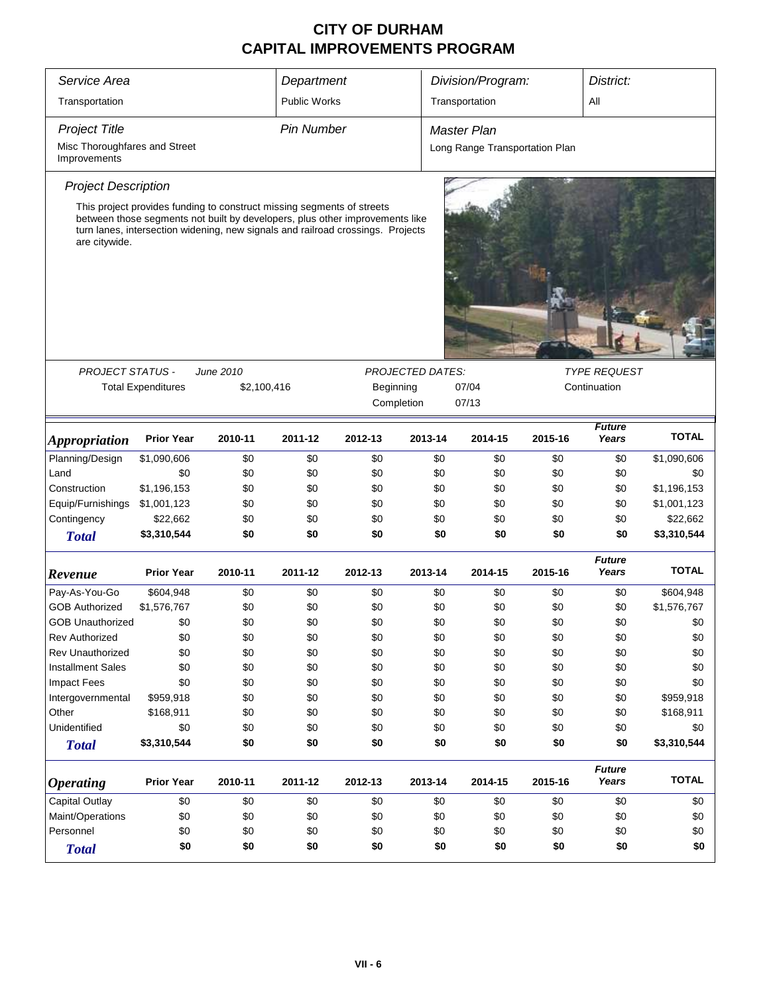| Service Area                                  | Department                                                                                                                                                                                                                                |             |                     | Division/Program: |                         |                    | District: |                                |                        |              |
|-----------------------------------------------|-------------------------------------------------------------------------------------------------------------------------------------------------------------------------------------------------------------------------------------------|-------------|---------------------|-------------------|-------------------------|--------------------|-----------|--------------------------------|------------------------|--------------|
| Transportation                                |                                                                                                                                                                                                                                           |             | <b>Public Works</b> |                   |                         | Transportation     |           |                                | All                    |              |
| <b>Project Title</b>                          |                                                                                                                                                                                                                                           |             | Pin Number          |                   |                         | <b>Master Plan</b> |           |                                |                        |              |
| Misc Thoroughfares and Street<br>Improvements |                                                                                                                                                                                                                                           |             |                     |                   |                         |                    |           | Long Range Transportation Plan |                        |              |
| <b>Project Description</b>                    |                                                                                                                                                                                                                                           |             |                     |                   |                         |                    |           |                                |                        |              |
| are citywide.                                 | This project provides funding to construct missing segments of streets<br>between those segments not built by developers, plus other improvements like<br>turn lanes, intersection widening, new signals and railroad crossings. Projects |             |                     |                   |                         |                    |           |                                |                        |              |
|                                               |                                                                                                                                                                                                                                           |             |                     |                   |                         |                    |           |                                |                        |              |
| <b>PROJECT STATUS -</b>                       |                                                                                                                                                                                                                                           | June 2010   |                     |                   | <b>PROJECTED DATES:</b> |                    |           |                                | <b>TYPE REQUEST</b>    |              |
|                                               | <b>Total Expenditures</b>                                                                                                                                                                                                                 | \$2,100,416 |                     | Beginning         |                         | 07/04              |           |                                | Continuation           |              |
|                                               |                                                                                                                                                                                                                                           |             |                     |                   | Completion              | 07/13              |           |                                |                        |              |
| <i><b>Appropriation</b></i>                   | <b>Prior Year</b>                                                                                                                                                                                                                         | 2010-11     | 2011-12             | 2012-13           | 2013-14                 |                    | 2014-15   | 2015-16                        | <b>Future</b><br>Years | <b>TOTAL</b> |
| Planning/Design                               | \$1,090,606                                                                                                                                                                                                                               | \$0         | \$0                 | \$0               | \$0                     |                    | \$0       | \$0                            | \$0                    | \$1,090,606  |
| Land                                          | \$0                                                                                                                                                                                                                                       | \$0         | \$0                 | \$0               | \$0                     |                    | \$0       | \$0                            | \$0                    | \$0          |
| Construction                                  | \$1,196,153                                                                                                                                                                                                                               | \$0         | \$0                 | \$0               | \$0                     |                    | \$0       | \$0                            | \$0                    | \$1,196,153  |
| Equip/Furnishings                             | \$1,001,123                                                                                                                                                                                                                               | \$0         | \$0                 | \$0               | \$0                     |                    | \$0       | \$0                            | \$0                    | \$1,001,123  |
| Contingency                                   | \$22,662                                                                                                                                                                                                                                  | \$0         | \$0                 | \$0               | \$0                     |                    | \$0       | \$0                            | \$0                    | \$22,662     |
| <b>Total</b>                                  | \$3,310,544                                                                                                                                                                                                                               | \$0         | \$0                 | \$0               |                         | \$0                | \$0       | \$0                            | \$0                    | \$3,310,544  |
| Revenue                                       | <b>Prior Year</b>                                                                                                                                                                                                                         | 2010-11     | 2011-12             | 2012-13           | 2013-14                 |                    | 2014-15   | 2015-16                        | <b>Future</b><br>Years | <b>TOTAL</b> |
| Pay-As-You-Go                                 | \$604,948                                                                                                                                                                                                                                 | \$0         | \$0                 | \$0               | \$0                     |                    | \$0       | \$0                            | \$0                    | \$604,948    |
| <b>GOB Authorized</b>                         | \$1,576,767                                                                                                                                                                                                                               | \$0         | \$0                 | \$0               | \$0                     |                    | \$0       | \$0                            | \$0                    | \$1,576,767  |
| <b>GOB Unauthorized</b>                       | \$0                                                                                                                                                                                                                                       | \$0         | \$0                 | \$0               |                         | \$0                | \$0       | \$0                            | \$0                    | \$0          |
| <b>Rev Authorized</b>                         | \$0                                                                                                                                                                                                                                       | \$0         | \$0                 | \$0               | \$0                     |                    | \$0       | \$0                            | \$0                    | \$0          |
| <b>Rev Unauthorized</b>                       | \$0                                                                                                                                                                                                                                       | \$0         | \$0                 | \$0               | \$0                     |                    | \$0       | \$0                            | \$0                    | \$0          |
| <b>Installment Sales</b>                      | \$0                                                                                                                                                                                                                                       | \$0         | \$0                 | \$0               | \$0                     |                    | \$0       | \$0                            | \$0                    | \$0          |
| <b>Impact Fees</b>                            | \$0                                                                                                                                                                                                                                       | \$0         | \$0                 | \$0               | \$0                     |                    | \$0       | \$0                            | \$0                    | \$0          |
| Intergovernmental                             | \$959,918                                                                                                                                                                                                                                 | \$0         | \$0                 | \$0               | \$0                     |                    | \$0       | \$0                            | \$0                    | \$959,918    |
| Other                                         | \$168,911                                                                                                                                                                                                                                 | \$0         | \$0                 | \$0               | \$0                     |                    | \$0       | \$0                            | \$0                    | \$168,911    |
| Unidentified                                  | \$0                                                                                                                                                                                                                                       | \$0         | \$0                 | \$0               | \$0                     |                    | \$0       | \$0                            | \$0                    | \$0          |
| <b>Total</b>                                  | \$3,310,544                                                                                                                                                                                                                               | \$0         | \$0                 | \$0               |                         | \$0                | \$0       | \$0                            | \$0                    | \$3,310,544  |
| <b>Operating</b>                              | <b>Prior Year</b>                                                                                                                                                                                                                         | 2010-11     | 2011-12             | 2012-13           | 2013-14                 |                    | 2014-15   | 2015-16                        | <b>Future</b><br>Years | <b>TOTAL</b> |
| Capital Outlay                                | \$0                                                                                                                                                                                                                                       | \$0         | \$0                 | \$0               | \$0                     |                    | \$0       | \$0                            | \$0                    | \$0          |
| Maint/Operations                              | \$0                                                                                                                                                                                                                                       | \$0         | \$0                 | \$0               | \$0                     |                    | \$0       | \$0                            | \$0                    | \$0          |
| Personnel                                     | \$0                                                                                                                                                                                                                                       | \$0         | \$0                 | \$0               | \$0                     |                    | \$0       | \$0                            | \$0                    | \$0          |
| <b>Total</b>                                  | \$0                                                                                                                                                                                                                                       | \$0         | \$0                 | \$0               |                         | \$0                | \$0       | \$0                            | \$0                    | \$0          |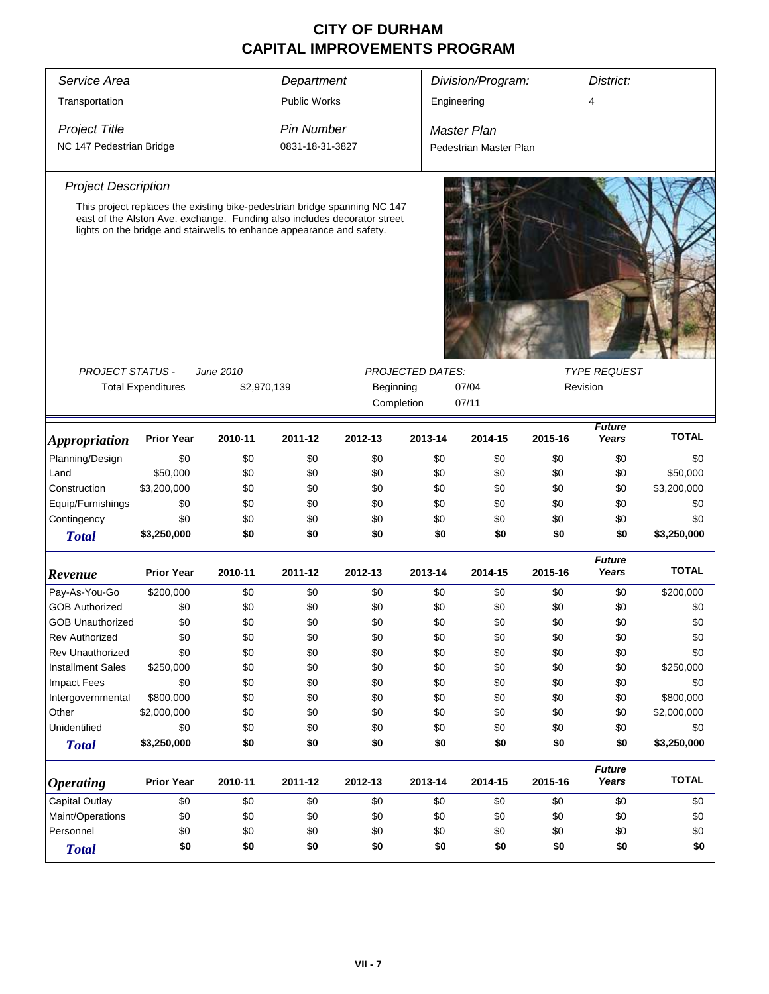| Service Area                |                                                                                                                                                   |             | Department          |           |                         | Division/Program:      |         | District:              |              |  |  |
|-----------------------------|---------------------------------------------------------------------------------------------------------------------------------------------------|-------------|---------------------|-----------|-------------------------|------------------------|---------|------------------------|--------------|--|--|
| Transportation              |                                                                                                                                                   |             | <b>Public Works</b> |           |                         | 4<br>Engineering       |         |                        |              |  |  |
|                             |                                                                                                                                                   |             |                     |           |                         |                        |         |                        |              |  |  |
| <b>Project Title</b>        |                                                                                                                                                   |             | <b>Pin Number</b>   |           |                         | <b>Master Plan</b>     |         |                        |              |  |  |
| NC 147 Pedestrian Bridge    |                                                                                                                                                   |             | 0831-18-31-3827     |           |                         | Pedestrian Master Plan |         |                        |              |  |  |
| <b>Project Description</b>  |                                                                                                                                                   |             |                     |           |                         |                        |         |                        |              |  |  |
|                             | This project replaces the existing bike-pedestrian bridge spanning NC 147                                                                         |             |                     |           |                         |                        |         |                        |              |  |  |
|                             | east of the Alston Ave. exchange. Funding also includes decorator street<br>lights on the bridge and stairwells to enhance appearance and safety. |             |                     |           |                         |                        |         |                        |              |  |  |
|                             |                                                                                                                                                   |             |                     |           |                         |                        |         |                        |              |  |  |
| <b>PROJECT STATUS -</b>     |                                                                                                                                                   | June 2010   |                     |           | <b>PROJECTED DATES:</b> |                        |         | <b>TYPE REQUEST</b>    |              |  |  |
|                             | <b>Total Expenditures</b>                                                                                                                         | \$2,970,139 |                     | Beginning |                         | 07/04<br>Revision      |         |                        |              |  |  |
|                             |                                                                                                                                                   |             |                     |           | Completion              | 07/11                  |         |                        |              |  |  |
| <i><b>Appropriation</b></i> | <b>Prior Year</b>                                                                                                                                 | 2010-11     | 2011-12             | 2012-13   | 2013-14                 | 2014-15                | 2015-16 | <b>Future</b><br>Years | <b>TOTAL</b> |  |  |
| Planning/Design             | \$0                                                                                                                                               | \$0         | \$0                 | \$0       | \$0                     | \$0                    | \$0     | \$0                    | \$0          |  |  |
| Land                        | \$50,000                                                                                                                                          | \$0         | \$0                 | \$0       | \$0                     | \$0                    | \$0     | \$0                    | \$50,000     |  |  |
| Construction                | \$3,200,000                                                                                                                                       | \$0         | \$0                 | \$0       | \$0                     | \$0                    | \$0     | \$0                    | \$3,200,000  |  |  |
| Equip/Furnishings           | \$0                                                                                                                                               | \$0         | \$0                 | \$0       | \$0                     | \$0                    | \$0     | \$0                    | \$0          |  |  |
| Contingency                 | \$0                                                                                                                                               | \$0         | \$0                 | \$0       | \$0                     | \$0                    | \$0     | \$0                    | \$0          |  |  |
| <b>Total</b>                | \$3,250,000                                                                                                                                       | \$0         | \$0                 | \$0       | \$0                     | \$0                    | \$0     | \$0                    | \$3,250,000  |  |  |
| Revenue                     | <b>Prior Year</b>                                                                                                                                 | 2010-11     | 2011-12             | 2012-13   | 2013-14                 | 2014-15                | 2015-16 | <b>Future</b><br>Years | <b>TOTAL</b> |  |  |
| Pay-As-You-Go               | \$200,000                                                                                                                                         | \$0         | \$0                 | \$0       | \$0                     | \$0                    | \$0     | \$0                    | \$200,000    |  |  |
| <b>GOB Authorized</b>       | \$0                                                                                                                                               | \$0         | \$0                 | \$0       | \$0                     | \$0                    | \$0     | \$0                    | \$0          |  |  |
| <b>GOB Unauthorized</b>     | \$0                                                                                                                                               | \$0         | \$0                 | \$0       | \$0                     | \$0                    | \$0     | \$0                    | \$0          |  |  |
| Rev Authorized              | \$0                                                                                                                                               | \$0         | \$0                 | \$0       | \$0                     | \$0                    | \$0     | \$0                    | \$0          |  |  |
| <b>Rev Unauthorized</b>     | \$0                                                                                                                                               | \$0         | \$0                 | \$0       | \$0                     | \$0                    | \$0     | \$0                    | \$0          |  |  |
| <b>Installment Sales</b>    | \$250,000                                                                                                                                         | \$0         | \$0                 | \$0       | \$0                     | \$0                    | \$0     | \$0                    | \$250,000    |  |  |
| <b>Impact Fees</b>          | \$0                                                                                                                                               | \$0         | \$0                 | \$0       | \$0                     | \$0                    | \$0     | \$0                    | \$0          |  |  |
| Intergovernmental           | \$800,000                                                                                                                                         | \$0         | \$0                 | \$0       | \$0                     | \$0                    | \$0     | \$0                    | \$800,000    |  |  |
| Other                       | \$2,000,000                                                                                                                                       | \$0         | \$0                 | \$0       | \$0                     | \$0                    | \$0     | \$0                    | \$2,000,000  |  |  |
| Unidentified                | \$0                                                                                                                                               | \$0         | \$0                 | \$0       | \$0                     | \$0                    | \$0     | \$0                    | \$0          |  |  |
| <b>Total</b>                | \$3,250,000                                                                                                                                       | \$0         | \$0                 | \$0       | \$0                     | \$0                    | \$0     | \$0                    | \$3,250,000  |  |  |
| <b>Operating</b>            | <b>Prior Year</b>                                                                                                                                 | 2010-11     | 2011-12             | 2012-13   | 2013-14                 | 2014-15                | 2015-16 | <b>Future</b><br>Years | <b>TOTAL</b> |  |  |
| Capital Outlay              | \$0                                                                                                                                               | \$0         | \$0                 | \$0       | \$0                     | \$0                    | \$0     | \$0                    | \$0          |  |  |
| Maint/Operations            | \$0                                                                                                                                               | \$0         | \$0                 | \$0       | \$0                     | \$0                    | \$0     | \$0                    | \$0          |  |  |
| Personnel                   | \$0                                                                                                                                               | \$0         | \$0                 | \$0       | \$0                     | \$0                    | \$0     | \$0                    | \$0          |  |  |
| <b>Total</b>                | \$0                                                                                                                                               | \$0         | \$0                 | \$0       | \$0                     | \$0                    | \$0     | \$0                    | \$0          |  |  |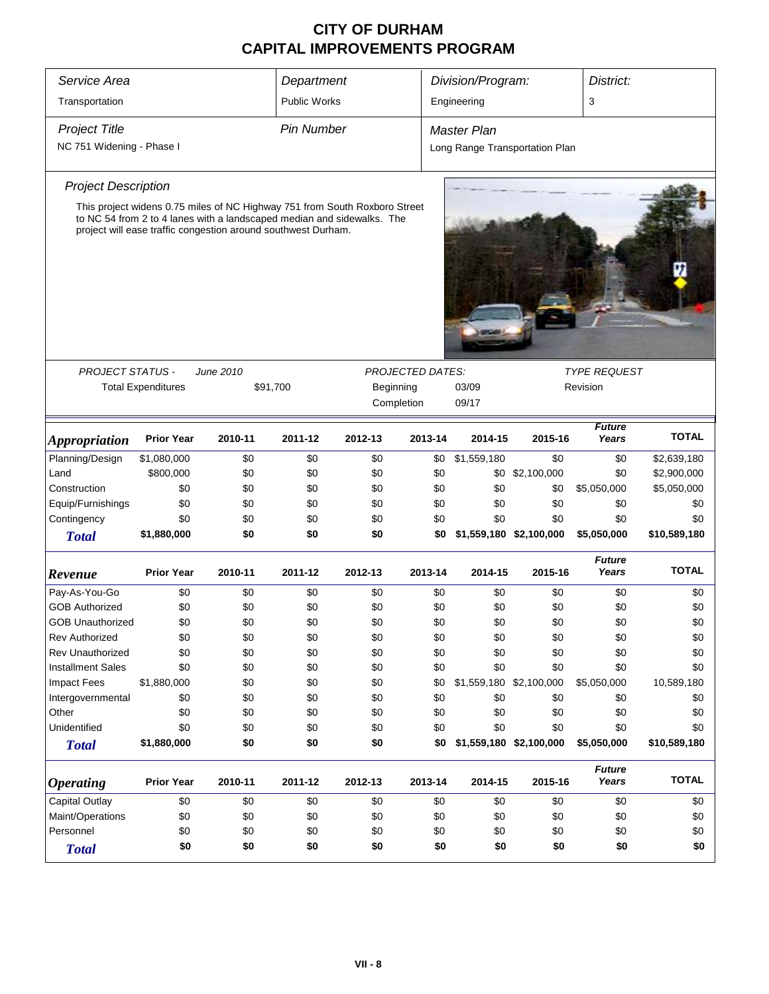| Service Area                |                                                               |           | Department          |                                                                                                                                                      |         | Division/Program:       |                                 | District:              |              |  |  |  |
|-----------------------------|---------------------------------------------------------------|-----------|---------------------|------------------------------------------------------------------------------------------------------------------------------------------------------|---------|-------------------------|---------------------------------|------------------------|--------------|--|--|--|
| Transportation              |                                                               |           | <b>Public Works</b> |                                                                                                                                                      |         | Engineering             |                                 | 3                      |              |  |  |  |
| <b>Project Title</b>        |                                                               |           | <b>Pin Number</b>   |                                                                                                                                                      |         | <b>Master Plan</b>      |                                 |                        |              |  |  |  |
| NC 751 Widening - Phase I   |                                                               |           |                     | Long Range Transportation Plan                                                                                                                       |         |                         |                                 |                        |              |  |  |  |
| <b>Project Description</b>  |                                                               |           |                     |                                                                                                                                                      |         |                         |                                 |                        |              |  |  |  |
|                             | project will ease traffic congestion around southwest Durham. |           |                     | This project widens 0.75 miles of NC Highway 751 from South Roxboro Street<br>to NC 54 from 2 to 4 lanes with a landscaped median and sidewalks. The |         |                         |                                 |                        |              |  |  |  |
| PROJECT STATUS -            |                                                               | June 2010 |                     | <b>PROJECTED DATES:</b>                                                                                                                              |         |                         |                                 |                        |              |  |  |  |
|                             | <b>Total Expenditures</b>                                     | \$91,700  |                     | Beginning<br>Completion                                                                                                                              |         | 03/09<br>09/17          | <b>TYPE REQUEST</b><br>Revision |                        |              |  |  |  |
| <i><b>Appropriation</b></i> | <b>Prior Year</b>                                             | 2010-11   | 2011-12             | 2012-13                                                                                                                                              | 2013-14 | 2014-15                 | 2015-16                         | <b>Future</b><br>Years | <b>TOTAL</b> |  |  |  |
| Planning/Design             | \$1,080,000                                                   | \$0       | \$0                 | \$0                                                                                                                                                  | \$0     | \$1,559,180             | \$0                             | \$0                    | \$2,639,180  |  |  |  |
| Land                        | \$800,000                                                     | \$0       | \$0                 | \$0                                                                                                                                                  | \$0     |                         | \$0 \$2,100,000                 | \$0                    | \$2,900,000  |  |  |  |
| Construction                | \$0                                                           | \$0       | \$0                 | \$0                                                                                                                                                  | \$0     | \$0                     | \$0                             | \$5,050,000            | \$5,050,000  |  |  |  |
| Equip/Furnishings           | \$0                                                           | \$0       | \$0                 | \$0                                                                                                                                                  | \$0     | \$0                     | \$0                             | \$0                    | \$0          |  |  |  |
| Contingency                 | \$0                                                           | \$0       | \$0                 | \$0                                                                                                                                                  | \$0     | \$0                     | \$0                             | \$0                    | \$0          |  |  |  |
| <b>Total</b>                | \$1,880,000                                                   | \$0       | \$0                 | \$0                                                                                                                                                  | \$0     | \$1,559,180 \$2,100,000 |                                 | \$5,050,000            | \$10,589,180 |  |  |  |
| Revenue                     | <b>Prior Year</b>                                             | 2010-11   | 2011-12             | 2012-13                                                                                                                                              | 2013-14 | 2014-15                 | 2015-16                         | <b>Future</b><br>Years | <b>TOTAL</b> |  |  |  |
| Pay-As-You-Go               | \$0                                                           | \$0       | \$0                 | \$0                                                                                                                                                  | \$0     | \$0                     | \$0                             | \$0                    | \$0          |  |  |  |
| <b>GOB Authorized</b>       | \$0                                                           | \$0       | \$0                 | \$0                                                                                                                                                  | \$0     | \$0                     | \$0                             | \$0                    | \$0          |  |  |  |
| <b>GOB Unauthorized</b>     | \$0                                                           | \$0       | \$0                 | \$0                                                                                                                                                  | \$0     | \$0                     | \$0                             | \$0                    | \$0          |  |  |  |
| <b>Rev Authorized</b>       | \$0                                                           | \$0       | \$0                 | \$0                                                                                                                                                  | \$0     | \$0                     | \$0                             | \$0                    | \$0          |  |  |  |
| <b>Rev Unauthorized</b>     | \$0                                                           | \$0       | \$0                 | \$0                                                                                                                                                  | \$0     | \$0                     | \$0                             | \$0                    | \$0          |  |  |  |
| <b>Installment Sales</b>    | \$0                                                           | \$0       | \$0                 | \$0                                                                                                                                                  | \$0     | \$0                     | \$0                             | \$0                    | \$0          |  |  |  |
| Impact Fees                 | \$1,880,000                                                   | \$0       | \$0                 | \$0                                                                                                                                                  | \$0     | \$1,559,180 \$2,100,000 |                                 | \$5,050,000            | 10,589,180   |  |  |  |
| Intergovernmental           | \$0                                                           | \$0       | \$0                 | \$0                                                                                                                                                  | \$0     | \$0                     | \$0                             | \$0                    | \$0          |  |  |  |
| Other                       | \$0                                                           | \$0       | \$0                 | \$0                                                                                                                                                  | \$0     | \$0                     | \$0                             | \$0                    | \$0          |  |  |  |
| Unidentified                | \$0                                                           | \$0       | \$0                 | \$0                                                                                                                                                  | \$0     | \$0                     | \$0                             | \$0                    | \$0          |  |  |  |
| <b>Total</b>                | \$1,880,000                                                   | \$0       | \$0                 | \$0                                                                                                                                                  | \$0     |                         | \$1,559,180 \$2,100,000         | \$5,050,000            | \$10,589,180 |  |  |  |
| <i><b>Operating</b></i>     | <b>Prior Year</b>                                             | 2010-11   | 2011-12             | 2012-13                                                                                                                                              | 2013-14 | 2014-15                 | 2015-16                         | <b>Future</b><br>Years | <b>TOTAL</b> |  |  |  |
| Capital Outlay              | \$0                                                           | \$0       | \$0                 | \$0                                                                                                                                                  | \$0     | \$0                     | \$0                             | \$0                    | \$0          |  |  |  |
| Maint/Operations            | \$0                                                           | \$0       | \$0                 | \$0                                                                                                                                                  | \$0     | \$0                     | \$0                             | \$0                    | \$0          |  |  |  |
| Personnel                   | \$0                                                           | \$0       | \$0                 | \$0                                                                                                                                                  | \$0     | \$0                     | \$0                             | \$0                    | \$0          |  |  |  |
| <b>Total</b>                | \$0                                                           | \$0       | \$0                 | \$0                                                                                                                                                  | \$0     | \$0                     | \$0                             | \$0                    | \$0          |  |  |  |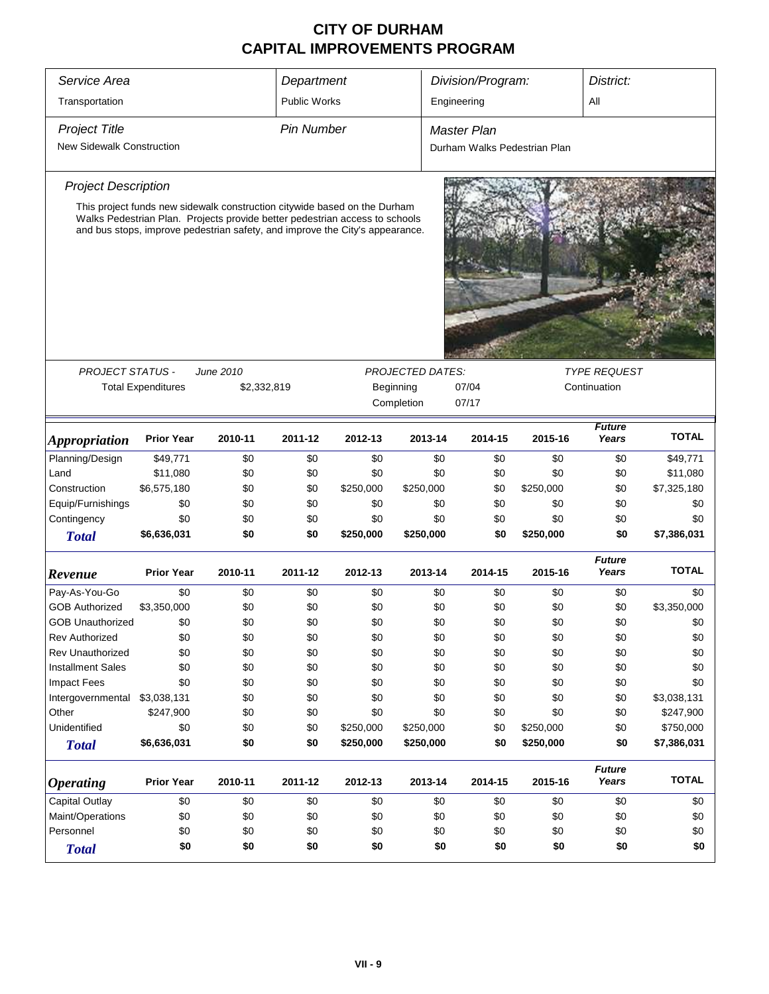| Service Area                     |                                                                                                                                                             |             | Department          |           |                         |     | Division/Program:            |           | District:              |              |
|----------------------------------|-------------------------------------------------------------------------------------------------------------------------------------------------------------|-------------|---------------------|-----------|-------------------------|-----|------------------------------|-----------|------------------------|--------------|
|                                  |                                                                                                                                                             |             |                     |           |                         |     |                              |           |                        |              |
| Transportation                   |                                                                                                                                                             |             | <b>Public Works</b> |           |                         |     | Engineering                  |           | All                    |              |
| <b>Project Title</b>             |                                                                                                                                                             |             | <b>Pin Number</b>   |           |                         |     | <b>Master Plan</b>           |           |                        |              |
| <b>New Sidewalk Construction</b> |                                                                                                                                                             |             |                     |           |                         |     | Durham Walks Pedestrian Plan |           |                        |              |
| <b>Project Description</b>       |                                                                                                                                                             |             |                     |           |                         |     |                              |           |                        |              |
|                                  | This project funds new sidewalk construction citywide based on the Durham                                                                                   |             |                     |           |                         |     |                              |           |                        |              |
|                                  | Walks Pedestrian Plan. Projects provide better pedestrian access to schools<br>and bus stops, improve pedestrian safety, and improve the City's appearance. |             |                     |           |                         |     |                              |           |                        |              |
|                                  |                                                                                                                                                             |             |                     |           |                         |     |                              |           |                        |              |
|                                  |                                                                                                                                                             |             |                     |           |                         |     |                              |           |                        |              |
|                                  |                                                                                                                                                             |             |                     |           |                         |     |                              |           |                        |              |
|                                  |                                                                                                                                                             |             |                     |           |                         |     |                              |           |                        |              |
|                                  |                                                                                                                                                             |             |                     |           |                         |     |                              |           |                        |              |
|                                  |                                                                                                                                                             |             |                     |           |                         |     |                              |           |                        |              |
| <b>PROJECT STATUS -</b>          |                                                                                                                                                             | June 2010   |                     |           | <b>PROJECTED DATES:</b> |     |                              |           | <b>TYPE REQUEST</b>    |              |
|                                  | <b>Total Expenditures</b>                                                                                                                                   | \$2,332,819 |                     |           | Beginning<br>Completion |     | 07/04<br>07/17               |           | Continuation           |              |
|                                  |                                                                                                                                                             |             |                     |           |                         |     |                              |           |                        |              |
| <b>Appropriation</b>             | <b>Prior Year</b>                                                                                                                                           | 2010-11     | 2011-12             | 2012-13   | 2013-14                 |     | 2014-15                      | 2015-16   | <b>Future</b><br>Years | <b>TOTAL</b> |
| Planning/Design                  | \$49,771                                                                                                                                                    | \$0         | \$0                 | \$0       |                         | \$0 | \$0                          | \$0       | \$0                    | \$49,771     |
| Land                             | \$11,080                                                                                                                                                    | \$0         | \$0                 | \$0       |                         | \$0 | \$0                          | \$0       | \$0                    | \$11,080     |
| Construction                     | \$6,575,180                                                                                                                                                 | \$0         | \$0                 | \$250,000 | \$250,000               |     | \$0                          | \$250,000 | \$0                    | \$7,325,180  |
| Equip/Furnishings                | \$0                                                                                                                                                         | \$0         | \$0                 | \$0       |                         | \$0 | \$0                          | \$0       | \$0                    | \$0          |
| Contingency                      | \$0                                                                                                                                                         | \$0         | \$0                 | \$0       |                         | \$0 | \$0                          | \$0       | \$0                    | \$0          |
| <b>Total</b>                     | \$6,636,031                                                                                                                                                 | \$0         | \$0                 | \$250,000 | \$250,000               |     | \$0                          | \$250,000 | \$0                    | \$7,386,031  |
| Revenue                          | <b>Prior Year</b>                                                                                                                                           | 2010-11     | 2011-12             | 2012-13   | 2013-14                 |     | 2014-15                      | 2015-16   | <b>Future</b><br>Years | <b>TOTAL</b> |
| Pay-As-You-Go                    | \$0                                                                                                                                                         | \$0         | \$0                 | \$0       |                         | \$0 | \$0                          | \$0       | \$0                    | \$0          |
| <b>GOB Authorized</b>            | \$3,350,000                                                                                                                                                 | \$0         | \$0                 | \$0       |                         | \$0 | \$0                          | \$0       | \$0                    | \$3,350,000  |
| <b>GOB Unauthorized</b>          | \$0                                                                                                                                                         | \$0         | \$0                 | \$0       |                         | \$0 | \$0                          | \$0       | \$0                    | \$0          |
| <b>Rev Authorized</b>            | \$0                                                                                                                                                         | \$0         | \$0                 | \$0       |                         | \$0 | \$0                          | \$0       | \$0                    | \$0          |
| <b>Rev Unauthorized</b>          | \$0                                                                                                                                                         | \$0         | \$0                 | \$0       |                         | \$0 | \$0                          | \$0       | \$0                    | \$0          |
| <b>Installment Sales</b>         | \$0                                                                                                                                                         | \$0         | \$0                 | \$0       |                         | \$0 | \$0                          | \$0       | \$0                    | \$0          |
| <b>Impact Fees</b>               | \$0                                                                                                                                                         | \$0         | \$0                 | \$0       |                         | \$0 | \$0                          | \$0       | \$0                    | \$0          |
| Intergovernmental                | \$3,038,131                                                                                                                                                 | \$0         | \$0                 | \$0       |                         | \$0 | \$0                          | \$0       | \$0                    | \$3,038,131  |
| Other                            | \$247,900                                                                                                                                                   | \$0         | \$0                 | \$0       |                         | \$0 | \$0                          | \$0       | \$0                    | \$247,900    |
| Unidentified                     | \$0                                                                                                                                                         | \$0         | \$0                 | \$250,000 | \$250,000               |     | \$0                          | \$250,000 | \$0                    | \$750,000    |
| <b>Total</b>                     | \$6,636,031                                                                                                                                                 | \$0         | \$0                 | \$250,000 | \$250,000               |     | \$0                          | \$250,000 | \$0                    | \$7,386,031  |
| <b>Operating</b>                 | <b>Prior Year</b>                                                                                                                                           | 2010-11     | 2011-12             | 2012-13   | 2013-14                 |     | 2014-15                      | 2015-16   | <b>Future</b><br>Years | <b>TOTAL</b> |
| Capital Outlay                   | \$0                                                                                                                                                         | \$0         | \$0                 | \$0       |                         | \$0 | \$0                          | \$0       | \$0                    | \$0          |
| Maint/Operations                 | \$0                                                                                                                                                         | \$0         | \$0                 | \$0       |                         | \$0 | \$0                          | \$0       | \$0                    | \$0          |
| Personnel                        | \$0                                                                                                                                                         | \$0         | \$0                 | \$0       |                         | \$0 | \$0                          | \$0       | \$0                    | \$0          |
| <b>Total</b>                     | \$0                                                                                                                                                         | \$0         | \$0                 | \$0       |                         | \$0 | \$0                          | \$0       | \$0                    | \$0          |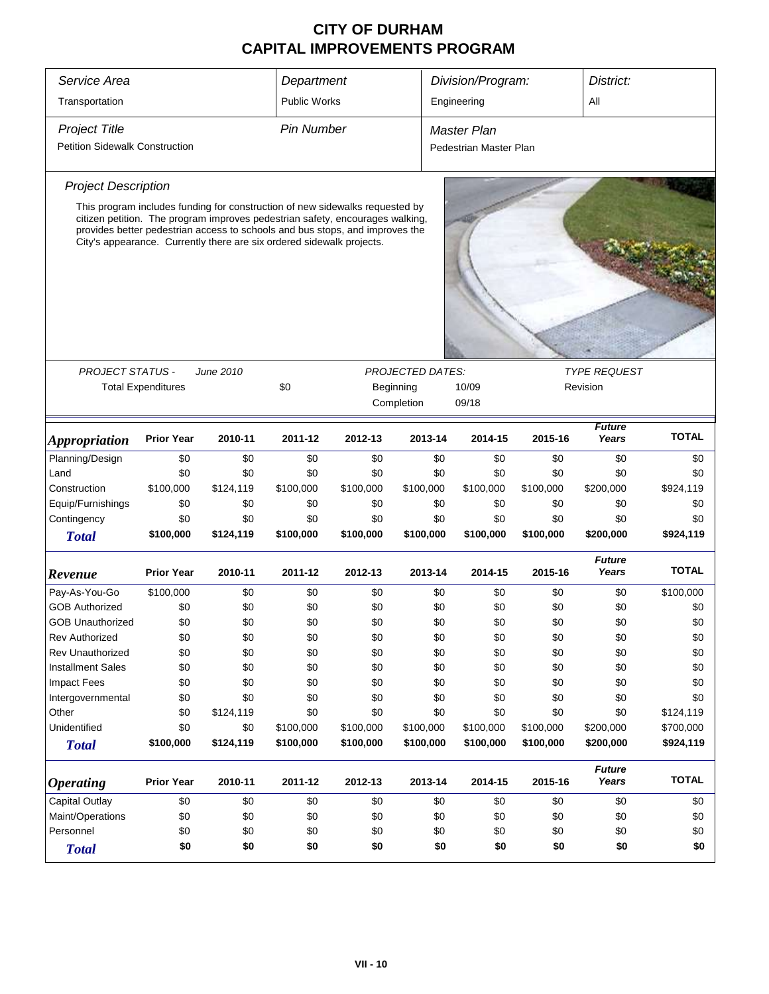| Service Area                          |                           |                                                                                                                                                                                                                                                                                                                        | Department          |                  |                         | Division/Program: |                        | District:        |                        |                  |
|---------------------------------------|---------------------------|------------------------------------------------------------------------------------------------------------------------------------------------------------------------------------------------------------------------------------------------------------------------------------------------------------------------|---------------------|------------------|-------------------------|-------------------|------------------------|------------------|------------------------|------------------|
| Transportation                        |                           |                                                                                                                                                                                                                                                                                                                        | <b>Public Works</b> |                  |                         |                   | Engineering            |                  | All                    |                  |
| <b>Project Title</b>                  |                           |                                                                                                                                                                                                                                                                                                                        | <b>Pin Number</b>   |                  |                         |                   | <b>Master Plan</b>     |                  |                        |                  |
| <b>Petition Sidewalk Construction</b> |                           |                                                                                                                                                                                                                                                                                                                        |                     |                  |                         |                   | Pedestrian Master Plan |                  |                        |                  |
|                                       |                           |                                                                                                                                                                                                                                                                                                                        |                     |                  |                         |                   |                        |                  |                        |                  |
| <b>Project Description</b>            |                           |                                                                                                                                                                                                                                                                                                                        |                     |                  |                         |                   |                        |                  |                        |                  |
|                                       |                           | This program includes funding for construction of new sidewalks requested by<br>citizen petition. The program improves pedestrian safety, encourages walking,<br>provides better pedestrian access to schools and bus stops, and improves the<br>City's appearance. Currently there are six ordered sidewalk projects. |                     |                  |                         |                   |                        |                  |                        |                  |
|                                       |                           |                                                                                                                                                                                                                                                                                                                        |                     |                  |                         |                   |                        |                  |                        |                  |
| <b>PROJECT STATUS -</b>               |                           | June 2010                                                                                                                                                                                                                                                                                                              |                     |                  | <b>PROJECTED DATES:</b> |                   |                        |                  | <b>TYPE REQUEST</b>    |                  |
|                                       | <b>Total Expenditures</b> |                                                                                                                                                                                                                                                                                                                        | \$0                 |                  | Beginning<br>Completion |                   | 10/09<br>09/18         |                  | Revision               |                  |
|                                       |                           |                                                                                                                                                                                                                                                                                                                        |                     |                  |                         |                   |                        |                  | <b>Future</b>          | <b>TOTAL</b>     |
| <i><b>Appropriation</b></i>           | <b>Prior Year</b>         | 2010-11                                                                                                                                                                                                                                                                                                                | 2011-12             | 2012-13          | 2013-14                 |                   | 2014-15                | 2015-16          | Years                  |                  |
| Planning/Design                       | \$0                       | \$0                                                                                                                                                                                                                                                                                                                    | \$0                 | \$0              |                         | \$0               | \$0                    | \$0              | \$0                    | \$0              |
| Land                                  | \$0                       | \$0                                                                                                                                                                                                                                                                                                                    | \$0                 | \$0              |                         | \$0               | \$0                    | \$0              | \$0                    | \$0              |
| Construction                          | \$100,000                 | \$124,119                                                                                                                                                                                                                                                                                                              | \$100,000           | \$100,000        | \$100,000               |                   | \$100,000              | \$100,000        | \$200,000              | \$924,119        |
| Equip/Furnishings                     | \$0                       | \$0                                                                                                                                                                                                                                                                                                                    | \$0                 | \$0              |                         | \$0               | \$0                    | \$0              | \$0                    | \$0              |
| Contingency<br><b>Total</b>           | \$0<br>\$100,000          | \$0<br>\$124,119                                                                                                                                                                                                                                                                                                       | \$0<br>\$100,000    | \$0<br>\$100,000 | \$100,000               | \$0               | \$0<br>\$100,000       | \$0<br>\$100,000 | \$0<br>\$200,000       | \$0<br>\$924,119 |
|                                       |                           |                                                                                                                                                                                                                                                                                                                        |                     |                  |                         |                   |                        |                  |                        |                  |
| Revenue                               | <b>Prior Year</b>         | 2010-11                                                                                                                                                                                                                                                                                                                | 2011-12             | 2012-13          | 2013-14                 |                   | 2014-15                | 2015-16          | <b>Future</b><br>Years | <b>TOTAL</b>     |
| Pay-As-You-Go                         | \$100,000                 | \$0                                                                                                                                                                                                                                                                                                                    | \$0                 | \$0              |                         | \$0               | \$0                    | \$0              | \$0                    | \$100,000        |
| <b>GOB Authorized</b>                 | \$0                       | \$0                                                                                                                                                                                                                                                                                                                    | \$0                 | \$0              |                         | \$0               | \$0                    | \$0              | \$0                    | \$0              |
| <b>GOB Unauthorized</b>               | \$0                       | \$0                                                                                                                                                                                                                                                                                                                    | \$0                 | \$0              |                         | \$0               | \$0                    | \$0              | \$0                    | \$0              |
| <b>Rev Authorized</b>                 | \$0                       | \$0                                                                                                                                                                                                                                                                                                                    | \$0                 | \$0              |                         | \$0               | \$0                    | \$0              | \$0                    | \$0              |
| Rev Unauthorized                      | \$0                       | \$0                                                                                                                                                                                                                                                                                                                    | \$0                 | \$0              |                         | \$0               | \$0                    | \$0              | \$0                    | \$0              |
| <b>Installment Sales</b>              | \$0                       | \$0                                                                                                                                                                                                                                                                                                                    | \$0                 | \$0              |                         | \$0               | \$0                    | \$0              | \$0                    | \$0              |
| <b>Impact Fees</b>                    | \$0                       | \$0                                                                                                                                                                                                                                                                                                                    | \$0                 | \$0              |                         | \$0               | \$0                    | \$0              | \$0                    | \$0              |
| Intergovernmental                     | \$0                       | \$0                                                                                                                                                                                                                                                                                                                    | \$0                 | \$0              |                         | \$0               | \$0                    | \$0              | \$0                    | \$0              |
| Other                                 | \$0                       | \$124,119                                                                                                                                                                                                                                                                                                              | \$0                 | \$0              |                         | \$0               | \$0                    | \$0              | \$0                    | \$124,119        |
| Unidentified                          | \$0                       | \$0                                                                                                                                                                                                                                                                                                                    | \$100,000           | \$100,000        | \$100,000               |                   | \$100,000              | \$100,000        | \$200,000              | \$700,000        |
| <b>Total</b>                          | \$100,000                 | \$124,119                                                                                                                                                                                                                                                                                                              | \$100,000           | \$100,000        | \$100,000               |                   | \$100,000              | \$100,000        | \$200,000              | \$924,119        |
| <b>Operating</b>                      | <b>Prior Year</b>         | 2010-11                                                                                                                                                                                                                                                                                                                | 2011-12             | 2012-13          | 2013-14                 |                   | 2014-15                | 2015-16          | <b>Future</b><br>Years | <b>TOTAL</b>     |
| Capital Outlay                        | \$0                       | \$0                                                                                                                                                                                                                                                                                                                    | \$0                 | \$0              |                         | \$0               | \$0                    | \$0              | \$0                    | \$0              |
| Maint/Operations                      | \$0                       | \$0                                                                                                                                                                                                                                                                                                                    | \$0                 | \$0              |                         | \$0               | \$0                    | \$0              | \$0                    | \$0              |
| Personnel                             | \$0                       | \$0                                                                                                                                                                                                                                                                                                                    | \$0                 | \$0              |                         | \$0               | \$0                    | \$0              | \$0                    | \$0              |
| <b>Total</b>                          | \$0                       | \$0                                                                                                                                                                                                                                                                                                                    | \$0                 | \$0              |                         | \$0               | \$0                    | \$0              | \$0                    | \$0              |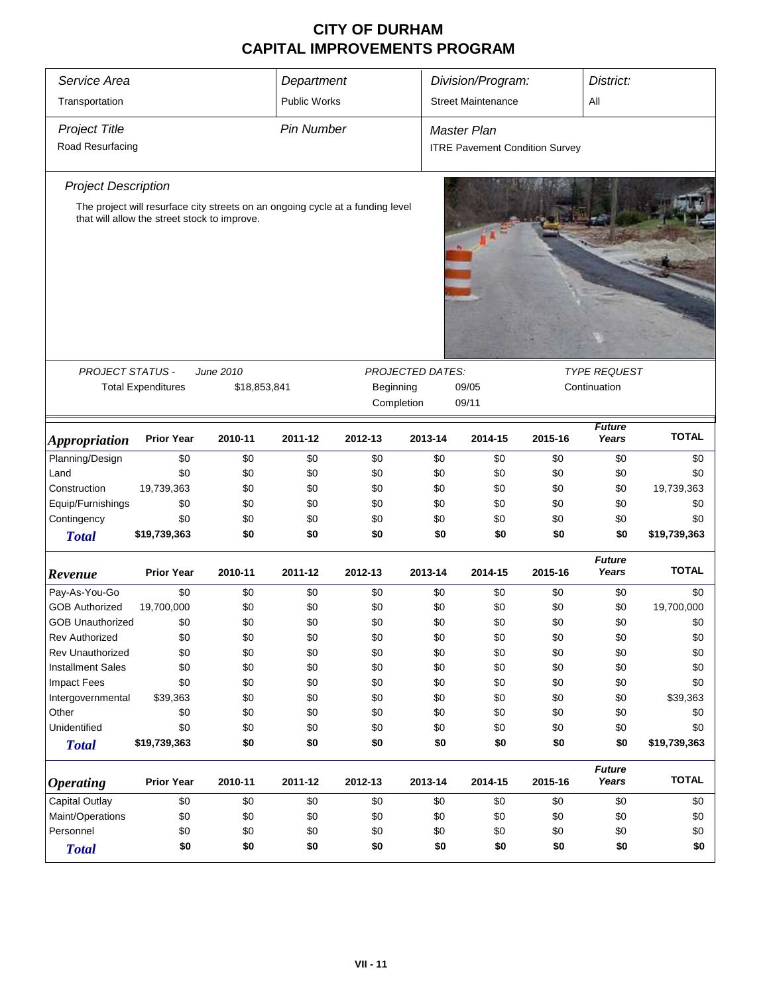| Division/Program:<br><b>Public Works</b><br><b>Street Maintenance</b><br>Transportation<br>All<br><b>Project Title</b><br><b>Pin Number</b><br><b>Master Plan</b><br>Road Resurfacing<br><b>ITRE Pavement Condition Survey</b><br><b>Project Description</b><br>The project will resurface city streets on an ongoing cycle at a funding level<br>that will allow the street stock to improve.<br>PROJECT STATUS -<br>June 2010<br><b>TYPE REQUEST</b><br><b>PROJECTED DATES:</b><br><b>Total Expenditures</b><br>\$18,853,841<br>Beginning<br>09/05<br>Continuation<br>Completion<br>09/11<br><b>Future</b><br><b>TOTAL</b><br>2011-12<br>2015-16<br>Years<br><b>Prior Year</b><br>2010-11<br>2012-13<br>2013-14<br>2014-15<br><i><b>Appropriation</b></i><br>Planning/Design<br>\$0<br>\$0<br>\$0<br>\$0<br>\$0<br>\$0<br>\$0<br>\$0<br>\$0<br>\$0<br>\$0<br>Land<br>\$0<br>\$0<br>\$0<br>\$0<br>\$0<br>\$0<br>\$0<br>Construction<br>19,739,363<br>\$0<br>\$0<br>\$0<br>\$0<br>\$0<br>\$0<br>\$0<br>19,739,363<br>Equip/Furnishings<br>\$0<br>\$0<br>\$0<br>\$0<br>\$0<br>\$0<br>\$0<br>\$0<br>\$0<br>Contingency<br>\$0<br>\$0<br>\$0<br>\$0<br>\$0<br>\$0<br>\$0<br>\$0<br>\$0<br>\$0<br>\$19,739,363<br>\$0<br>\$0<br>\$0<br>\$0<br>\$0<br>\$0<br>\$19,739,363<br><b>Total</b><br><b>Future</b><br><b>TOTAL</b><br><b>Prior Year</b><br>Years<br>2010-11<br>2011-12<br>2012-13<br>2013-14<br>2014-15<br>2015-16<br>Revenue<br>\$0<br>Pay-As-You-Go<br>\$0<br>\$0<br>\$0<br>\$0<br>\$0<br>\$0<br>\$0<br>\$0<br><b>GOB Authorized</b><br>\$0<br>\$0<br>19,700,000<br>\$0<br>\$0<br>\$0<br>\$0<br>\$0<br>19,700,000<br>\$0<br>\$0<br>\$0<br>\$0<br>\$0<br>\$0<br>\$0<br>\$0<br><b>GOB Unauthorized</b><br>\$0<br>\$0<br>\$0<br>\$0<br>\$0<br>\$0<br>\$0<br>\$0<br>\$0<br>\$0<br><b>Rev Authorized</b><br><b>Rev Unauthorized</b><br>\$0<br>\$0<br>\$0<br>\$0<br>\$0<br>\$0<br>\$0<br>\$0<br>\$0<br><b>Installment Sales</b><br>\$0<br>\$0<br>\$0<br>\$0<br>\$0<br>\$0<br>\$0<br>\$0<br>\$0<br>\$0<br>\$0<br>\$0<br><b>Impact Fees</b><br>\$0<br>\$0<br>\$0<br>\$0<br>\$0<br>\$0<br>\$0<br>\$0<br>\$0<br>Intergovernmental<br>\$39,363<br>\$0<br>\$0<br>\$0<br>\$0<br>\$39,363<br>\$0<br>\$0<br>\$0<br>Other<br>\$0<br>\$0<br>\$0<br>\$0<br>\$0<br>\$0<br>Unidentified<br>\$0<br>\$0<br>\$0<br>\$0<br>\$0<br>\$0<br>\$0<br>\$0<br>\$0<br>\$19,739,363<br>\$0<br>\$0<br>\$0<br>\$0<br>\$0<br>\$0<br>\$0<br>\$19,739,363<br><b>Total</b><br><b>Future</b><br><b>TOTAL</b><br><b>Prior Year</b><br>2010-11<br>2011-12<br>2013-14<br>2015-16<br>Years<br>2012-13<br>2014-15<br><i><b>Operating</b></i><br><b>Capital Outlay</b><br>\$0<br>\$0<br>\$0<br>\$0<br>\$0<br>\$0<br>\$0<br>\$0<br>\$0<br>Maint/Operations<br>\$0<br>\$0<br>\$0<br>\$0<br>\$0<br>\$0<br>\$0<br>\$0<br>\$0<br>Personnel<br>\$0<br>\$0<br>\$0<br>\$0<br>\$0<br>\$0<br>\$0<br>\$0<br>\$0<br>\$0<br>\$0<br>\$0<br>\$0<br>\$0<br>\$0<br>\$0<br>\$0<br>\$0<br><b>Total</b> | Service Area<br>Department |  |  |  |  |  |  |  | District: |  |  |  |  |
|--------------------------------------------------------------------------------------------------------------------------------------------------------------------------------------------------------------------------------------------------------------------------------------------------------------------------------------------------------------------------------------------------------------------------------------------------------------------------------------------------------------------------------------------------------------------------------------------------------------------------------------------------------------------------------------------------------------------------------------------------------------------------------------------------------------------------------------------------------------------------------------------------------------------------------------------------------------------------------------------------------------------------------------------------------------------------------------------------------------------------------------------------------------------------------------------------------------------------------------------------------------------------------------------------------------------------------------------------------------------------------------------------------------------------------------------------------------------------------------------------------------------------------------------------------------------------------------------------------------------------------------------------------------------------------------------------------------------------------------------------------------------------------------------------------------------------------------------------------------------------------------------------------------------------------------------------------------------------------------------------------------------------------------------------------------------------------------------------------------------------------------------------------------------------------------------------------------------------------------------------------------------------------------------------------------------------------------------------------------------------------------------------------------------------------------------------------------------------------------------------------------------------------------------------------------------------------------------------------------------------------------------------------------------------------------------------------------------------------------------------------------------------------------------------------------------------------------------------------------------------------------------------------------------------------------------|----------------------------|--|--|--|--|--|--|--|-----------|--|--|--|--|
|                                                                                                                                                                                                                                                                                                                                                                                                                                                                                                                                                                                                                                                                                                                                                                                                                                                                                                                                                                                                                                                                                                                                                                                                                                                                                                                                                                                                                                                                                                                                                                                                                                                                                                                                                                                                                                                                                                                                                                                                                                                                                                                                                                                                                                                                                                                                                                                                                                                                                                                                                                                                                                                                                                                                                                                                                                                                                                                                            |                            |  |  |  |  |  |  |  |           |  |  |  |  |
|                                                                                                                                                                                                                                                                                                                                                                                                                                                                                                                                                                                                                                                                                                                                                                                                                                                                                                                                                                                                                                                                                                                                                                                                                                                                                                                                                                                                                                                                                                                                                                                                                                                                                                                                                                                                                                                                                                                                                                                                                                                                                                                                                                                                                                                                                                                                                                                                                                                                                                                                                                                                                                                                                                                                                                                                                                                                                                                                            |                            |  |  |  |  |  |  |  |           |  |  |  |  |
|                                                                                                                                                                                                                                                                                                                                                                                                                                                                                                                                                                                                                                                                                                                                                                                                                                                                                                                                                                                                                                                                                                                                                                                                                                                                                                                                                                                                                                                                                                                                                                                                                                                                                                                                                                                                                                                                                                                                                                                                                                                                                                                                                                                                                                                                                                                                                                                                                                                                                                                                                                                                                                                                                                                                                                                                                                                                                                                                            |                            |  |  |  |  |  |  |  |           |  |  |  |  |
|                                                                                                                                                                                                                                                                                                                                                                                                                                                                                                                                                                                                                                                                                                                                                                                                                                                                                                                                                                                                                                                                                                                                                                                                                                                                                                                                                                                                                                                                                                                                                                                                                                                                                                                                                                                                                                                                                                                                                                                                                                                                                                                                                                                                                                                                                                                                                                                                                                                                                                                                                                                                                                                                                                                                                                                                                                                                                                                                            |                            |  |  |  |  |  |  |  |           |  |  |  |  |
|                                                                                                                                                                                                                                                                                                                                                                                                                                                                                                                                                                                                                                                                                                                                                                                                                                                                                                                                                                                                                                                                                                                                                                                                                                                                                                                                                                                                                                                                                                                                                                                                                                                                                                                                                                                                                                                                                                                                                                                                                                                                                                                                                                                                                                                                                                                                                                                                                                                                                                                                                                                                                                                                                                                                                                                                                                                                                                                                            |                            |  |  |  |  |  |  |  |           |  |  |  |  |
|                                                                                                                                                                                                                                                                                                                                                                                                                                                                                                                                                                                                                                                                                                                                                                                                                                                                                                                                                                                                                                                                                                                                                                                                                                                                                                                                                                                                                                                                                                                                                                                                                                                                                                                                                                                                                                                                                                                                                                                                                                                                                                                                                                                                                                                                                                                                                                                                                                                                                                                                                                                                                                                                                                                                                                                                                                                                                                                                            |                            |  |  |  |  |  |  |  |           |  |  |  |  |
|                                                                                                                                                                                                                                                                                                                                                                                                                                                                                                                                                                                                                                                                                                                                                                                                                                                                                                                                                                                                                                                                                                                                                                                                                                                                                                                                                                                                                                                                                                                                                                                                                                                                                                                                                                                                                                                                                                                                                                                                                                                                                                                                                                                                                                                                                                                                                                                                                                                                                                                                                                                                                                                                                                                                                                                                                                                                                                                                            |                            |  |  |  |  |  |  |  |           |  |  |  |  |
|                                                                                                                                                                                                                                                                                                                                                                                                                                                                                                                                                                                                                                                                                                                                                                                                                                                                                                                                                                                                                                                                                                                                                                                                                                                                                                                                                                                                                                                                                                                                                                                                                                                                                                                                                                                                                                                                                                                                                                                                                                                                                                                                                                                                                                                                                                                                                                                                                                                                                                                                                                                                                                                                                                                                                                                                                                                                                                                                            |                            |  |  |  |  |  |  |  |           |  |  |  |  |
|                                                                                                                                                                                                                                                                                                                                                                                                                                                                                                                                                                                                                                                                                                                                                                                                                                                                                                                                                                                                                                                                                                                                                                                                                                                                                                                                                                                                                                                                                                                                                                                                                                                                                                                                                                                                                                                                                                                                                                                                                                                                                                                                                                                                                                                                                                                                                                                                                                                                                                                                                                                                                                                                                                                                                                                                                                                                                                                                            |                            |  |  |  |  |  |  |  |           |  |  |  |  |
|                                                                                                                                                                                                                                                                                                                                                                                                                                                                                                                                                                                                                                                                                                                                                                                                                                                                                                                                                                                                                                                                                                                                                                                                                                                                                                                                                                                                                                                                                                                                                                                                                                                                                                                                                                                                                                                                                                                                                                                                                                                                                                                                                                                                                                                                                                                                                                                                                                                                                                                                                                                                                                                                                                                                                                                                                                                                                                                                            |                            |  |  |  |  |  |  |  |           |  |  |  |  |
|                                                                                                                                                                                                                                                                                                                                                                                                                                                                                                                                                                                                                                                                                                                                                                                                                                                                                                                                                                                                                                                                                                                                                                                                                                                                                                                                                                                                                                                                                                                                                                                                                                                                                                                                                                                                                                                                                                                                                                                                                                                                                                                                                                                                                                                                                                                                                                                                                                                                                                                                                                                                                                                                                                                                                                                                                                                                                                                                            |                            |  |  |  |  |  |  |  |           |  |  |  |  |
|                                                                                                                                                                                                                                                                                                                                                                                                                                                                                                                                                                                                                                                                                                                                                                                                                                                                                                                                                                                                                                                                                                                                                                                                                                                                                                                                                                                                                                                                                                                                                                                                                                                                                                                                                                                                                                                                                                                                                                                                                                                                                                                                                                                                                                                                                                                                                                                                                                                                                                                                                                                                                                                                                                                                                                                                                                                                                                                                            |                            |  |  |  |  |  |  |  |           |  |  |  |  |
|                                                                                                                                                                                                                                                                                                                                                                                                                                                                                                                                                                                                                                                                                                                                                                                                                                                                                                                                                                                                                                                                                                                                                                                                                                                                                                                                                                                                                                                                                                                                                                                                                                                                                                                                                                                                                                                                                                                                                                                                                                                                                                                                                                                                                                                                                                                                                                                                                                                                                                                                                                                                                                                                                                                                                                                                                                                                                                                                            |                            |  |  |  |  |  |  |  |           |  |  |  |  |
|                                                                                                                                                                                                                                                                                                                                                                                                                                                                                                                                                                                                                                                                                                                                                                                                                                                                                                                                                                                                                                                                                                                                                                                                                                                                                                                                                                                                                                                                                                                                                                                                                                                                                                                                                                                                                                                                                                                                                                                                                                                                                                                                                                                                                                                                                                                                                                                                                                                                                                                                                                                                                                                                                                                                                                                                                                                                                                                                            |                            |  |  |  |  |  |  |  |           |  |  |  |  |
|                                                                                                                                                                                                                                                                                                                                                                                                                                                                                                                                                                                                                                                                                                                                                                                                                                                                                                                                                                                                                                                                                                                                                                                                                                                                                                                                                                                                                                                                                                                                                                                                                                                                                                                                                                                                                                                                                                                                                                                                                                                                                                                                                                                                                                                                                                                                                                                                                                                                                                                                                                                                                                                                                                                                                                                                                                                                                                                                            |                            |  |  |  |  |  |  |  |           |  |  |  |  |
|                                                                                                                                                                                                                                                                                                                                                                                                                                                                                                                                                                                                                                                                                                                                                                                                                                                                                                                                                                                                                                                                                                                                                                                                                                                                                                                                                                                                                                                                                                                                                                                                                                                                                                                                                                                                                                                                                                                                                                                                                                                                                                                                                                                                                                                                                                                                                                                                                                                                                                                                                                                                                                                                                                                                                                                                                                                                                                                                            |                            |  |  |  |  |  |  |  |           |  |  |  |  |
|                                                                                                                                                                                                                                                                                                                                                                                                                                                                                                                                                                                                                                                                                                                                                                                                                                                                                                                                                                                                                                                                                                                                                                                                                                                                                                                                                                                                                                                                                                                                                                                                                                                                                                                                                                                                                                                                                                                                                                                                                                                                                                                                                                                                                                                                                                                                                                                                                                                                                                                                                                                                                                                                                                                                                                                                                                                                                                                                            |                            |  |  |  |  |  |  |  |           |  |  |  |  |
|                                                                                                                                                                                                                                                                                                                                                                                                                                                                                                                                                                                                                                                                                                                                                                                                                                                                                                                                                                                                                                                                                                                                                                                                                                                                                                                                                                                                                                                                                                                                                                                                                                                                                                                                                                                                                                                                                                                                                                                                                                                                                                                                                                                                                                                                                                                                                                                                                                                                                                                                                                                                                                                                                                                                                                                                                                                                                                                                            |                            |  |  |  |  |  |  |  |           |  |  |  |  |
|                                                                                                                                                                                                                                                                                                                                                                                                                                                                                                                                                                                                                                                                                                                                                                                                                                                                                                                                                                                                                                                                                                                                                                                                                                                                                                                                                                                                                                                                                                                                                                                                                                                                                                                                                                                                                                                                                                                                                                                                                                                                                                                                                                                                                                                                                                                                                                                                                                                                                                                                                                                                                                                                                                                                                                                                                                                                                                                                            |                            |  |  |  |  |  |  |  |           |  |  |  |  |
|                                                                                                                                                                                                                                                                                                                                                                                                                                                                                                                                                                                                                                                                                                                                                                                                                                                                                                                                                                                                                                                                                                                                                                                                                                                                                                                                                                                                                                                                                                                                                                                                                                                                                                                                                                                                                                                                                                                                                                                                                                                                                                                                                                                                                                                                                                                                                                                                                                                                                                                                                                                                                                                                                                                                                                                                                                                                                                                                            |                            |  |  |  |  |  |  |  |           |  |  |  |  |
|                                                                                                                                                                                                                                                                                                                                                                                                                                                                                                                                                                                                                                                                                                                                                                                                                                                                                                                                                                                                                                                                                                                                                                                                                                                                                                                                                                                                                                                                                                                                                                                                                                                                                                                                                                                                                                                                                                                                                                                                                                                                                                                                                                                                                                                                                                                                                                                                                                                                                                                                                                                                                                                                                                                                                                                                                                                                                                                                            |                            |  |  |  |  |  |  |  |           |  |  |  |  |
|                                                                                                                                                                                                                                                                                                                                                                                                                                                                                                                                                                                                                                                                                                                                                                                                                                                                                                                                                                                                                                                                                                                                                                                                                                                                                                                                                                                                                                                                                                                                                                                                                                                                                                                                                                                                                                                                                                                                                                                                                                                                                                                                                                                                                                                                                                                                                                                                                                                                                                                                                                                                                                                                                                                                                                                                                                                                                                                                            |                            |  |  |  |  |  |  |  |           |  |  |  |  |
|                                                                                                                                                                                                                                                                                                                                                                                                                                                                                                                                                                                                                                                                                                                                                                                                                                                                                                                                                                                                                                                                                                                                                                                                                                                                                                                                                                                                                                                                                                                                                                                                                                                                                                                                                                                                                                                                                                                                                                                                                                                                                                                                                                                                                                                                                                                                                                                                                                                                                                                                                                                                                                                                                                                                                                                                                                                                                                                                            |                            |  |  |  |  |  |  |  |           |  |  |  |  |
|                                                                                                                                                                                                                                                                                                                                                                                                                                                                                                                                                                                                                                                                                                                                                                                                                                                                                                                                                                                                                                                                                                                                                                                                                                                                                                                                                                                                                                                                                                                                                                                                                                                                                                                                                                                                                                                                                                                                                                                                                                                                                                                                                                                                                                                                                                                                                                                                                                                                                                                                                                                                                                                                                                                                                                                                                                                                                                                                            |                            |  |  |  |  |  |  |  |           |  |  |  |  |
|                                                                                                                                                                                                                                                                                                                                                                                                                                                                                                                                                                                                                                                                                                                                                                                                                                                                                                                                                                                                                                                                                                                                                                                                                                                                                                                                                                                                                                                                                                                                                                                                                                                                                                                                                                                                                                                                                                                                                                                                                                                                                                                                                                                                                                                                                                                                                                                                                                                                                                                                                                                                                                                                                                                                                                                                                                                                                                                                            |                            |  |  |  |  |  |  |  |           |  |  |  |  |
|                                                                                                                                                                                                                                                                                                                                                                                                                                                                                                                                                                                                                                                                                                                                                                                                                                                                                                                                                                                                                                                                                                                                                                                                                                                                                                                                                                                                                                                                                                                                                                                                                                                                                                                                                                                                                                                                                                                                                                                                                                                                                                                                                                                                                                                                                                                                                                                                                                                                                                                                                                                                                                                                                                                                                                                                                                                                                                                                            |                            |  |  |  |  |  |  |  |           |  |  |  |  |
|                                                                                                                                                                                                                                                                                                                                                                                                                                                                                                                                                                                                                                                                                                                                                                                                                                                                                                                                                                                                                                                                                                                                                                                                                                                                                                                                                                                                                                                                                                                                                                                                                                                                                                                                                                                                                                                                                                                                                                                                                                                                                                                                                                                                                                                                                                                                                                                                                                                                                                                                                                                                                                                                                                                                                                                                                                                                                                                                            |                            |  |  |  |  |  |  |  |           |  |  |  |  |
|                                                                                                                                                                                                                                                                                                                                                                                                                                                                                                                                                                                                                                                                                                                                                                                                                                                                                                                                                                                                                                                                                                                                                                                                                                                                                                                                                                                                                                                                                                                                                                                                                                                                                                                                                                                                                                                                                                                                                                                                                                                                                                                                                                                                                                                                                                                                                                                                                                                                                                                                                                                                                                                                                                                                                                                                                                                                                                                                            |                            |  |  |  |  |  |  |  |           |  |  |  |  |
|                                                                                                                                                                                                                                                                                                                                                                                                                                                                                                                                                                                                                                                                                                                                                                                                                                                                                                                                                                                                                                                                                                                                                                                                                                                                                                                                                                                                                                                                                                                                                                                                                                                                                                                                                                                                                                                                                                                                                                                                                                                                                                                                                                                                                                                                                                                                                                                                                                                                                                                                                                                                                                                                                                                                                                                                                                                                                                                                            |                            |  |  |  |  |  |  |  |           |  |  |  |  |
|                                                                                                                                                                                                                                                                                                                                                                                                                                                                                                                                                                                                                                                                                                                                                                                                                                                                                                                                                                                                                                                                                                                                                                                                                                                                                                                                                                                                                                                                                                                                                                                                                                                                                                                                                                                                                                                                                                                                                                                                                                                                                                                                                                                                                                                                                                                                                                                                                                                                                                                                                                                                                                                                                                                                                                                                                                                                                                                                            |                            |  |  |  |  |  |  |  |           |  |  |  |  |
|                                                                                                                                                                                                                                                                                                                                                                                                                                                                                                                                                                                                                                                                                                                                                                                                                                                                                                                                                                                                                                                                                                                                                                                                                                                                                                                                                                                                                                                                                                                                                                                                                                                                                                                                                                                                                                                                                                                                                                                                                                                                                                                                                                                                                                                                                                                                                                                                                                                                                                                                                                                                                                                                                                                                                                                                                                                                                                                                            |                            |  |  |  |  |  |  |  |           |  |  |  |  |
|                                                                                                                                                                                                                                                                                                                                                                                                                                                                                                                                                                                                                                                                                                                                                                                                                                                                                                                                                                                                                                                                                                                                                                                                                                                                                                                                                                                                                                                                                                                                                                                                                                                                                                                                                                                                                                                                                                                                                                                                                                                                                                                                                                                                                                                                                                                                                                                                                                                                                                                                                                                                                                                                                                                                                                                                                                                                                                                                            |                            |  |  |  |  |  |  |  |           |  |  |  |  |
|                                                                                                                                                                                                                                                                                                                                                                                                                                                                                                                                                                                                                                                                                                                                                                                                                                                                                                                                                                                                                                                                                                                                                                                                                                                                                                                                                                                                                                                                                                                                                                                                                                                                                                                                                                                                                                                                                                                                                                                                                                                                                                                                                                                                                                                                                                                                                                                                                                                                                                                                                                                                                                                                                                                                                                                                                                                                                                                                            |                            |  |  |  |  |  |  |  |           |  |  |  |  |
|                                                                                                                                                                                                                                                                                                                                                                                                                                                                                                                                                                                                                                                                                                                                                                                                                                                                                                                                                                                                                                                                                                                                                                                                                                                                                                                                                                                                                                                                                                                                                                                                                                                                                                                                                                                                                                                                                                                                                                                                                                                                                                                                                                                                                                                                                                                                                                                                                                                                                                                                                                                                                                                                                                                                                                                                                                                                                                                                            |                            |  |  |  |  |  |  |  |           |  |  |  |  |
|                                                                                                                                                                                                                                                                                                                                                                                                                                                                                                                                                                                                                                                                                                                                                                                                                                                                                                                                                                                                                                                                                                                                                                                                                                                                                                                                                                                                                                                                                                                                                                                                                                                                                                                                                                                                                                                                                                                                                                                                                                                                                                                                                                                                                                                                                                                                                                                                                                                                                                                                                                                                                                                                                                                                                                                                                                                                                                                                            |                            |  |  |  |  |  |  |  |           |  |  |  |  |
|                                                                                                                                                                                                                                                                                                                                                                                                                                                                                                                                                                                                                                                                                                                                                                                                                                                                                                                                                                                                                                                                                                                                                                                                                                                                                                                                                                                                                                                                                                                                                                                                                                                                                                                                                                                                                                                                                                                                                                                                                                                                                                                                                                                                                                                                                                                                                                                                                                                                                                                                                                                                                                                                                                                                                                                                                                                                                                                                            |                            |  |  |  |  |  |  |  |           |  |  |  |  |
|                                                                                                                                                                                                                                                                                                                                                                                                                                                                                                                                                                                                                                                                                                                                                                                                                                                                                                                                                                                                                                                                                                                                                                                                                                                                                                                                                                                                                                                                                                                                                                                                                                                                                                                                                                                                                                                                                                                                                                                                                                                                                                                                                                                                                                                                                                                                                                                                                                                                                                                                                                                                                                                                                                                                                                                                                                                                                                                                            |                            |  |  |  |  |  |  |  |           |  |  |  |  |
|                                                                                                                                                                                                                                                                                                                                                                                                                                                                                                                                                                                                                                                                                                                                                                                                                                                                                                                                                                                                                                                                                                                                                                                                                                                                                                                                                                                                                                                                                                                                                                                                                                                                                                                                                                                                                                                                                                                                                                                                                                                                                                                                                                                                                                                                                                                                                                                                                                                                                                                                                                                                                                                                                                                                                                                                                                                                                                                                            |                            |  |  |  |  |  |  |  |           |  |  |  |  |
|                                                                                                                                                                                                                                                                                                                                                                                                                                                                                                                                                                                                                                                                                                                                                                                                                                                                                                                                                                                                                                                                                                                                                                                                                                                                                                                                                                                                                                                                                                                                                                                                                                                                                                                                                                                                                                                                                                                                                                                                                                                                                                                                                                                                                                                                                                                                                                                                                                                                                                                                                                                                                                                                                                                                                                                                                                                                                                                                            |                            |  |  |  |  |  |  |  |           |  |  |  |  |
|                                                                                                                                                                                                                                                                                                                                                                                                                                                                                                                                                                                                                                                                                                                                                                                                                                                                                                                                                                                                                                                                                                                                                                                                                                                                                                                                                                                                                                                                                                                                                                                                                                                                                                                                                                                                                                                                                                                                                                                                                                                                                                                                                                                                                                                                                                                                                                                                                                                                                                                                                                                                                                                                                                                                                                                                                                                                                                                                            |                            |  |  |  |  |  |  |  |           |  |  |  |  |
|                                                                                                                                                                                                                                                                                                                                                                                                                                                                                                                                                                                                                                                                                                                                                                                                                                                                                                                                                                                                                                                                                                                                                                                                                                                                                                                                                                                                                                                                                                                                                                                                                                                                                                                                                                                                                                                                                                                                                                                                                                                                                                                                                                                                                                                                                                                                                                                                                                                                                                                                                                                                                                                                                                                                                                                                                                                                                                                                            |                            |  |  |  |  |  |  |  |           |  |  |  |  |
|                                                                                                                                                                                                                                                                                                                                                                                                                                                                                                                                                                                                                                                                                                                                                                                                                                                                                                                                                                                                                                                                                                                                                                                                                                                                                                                                                                                                                                                                                                                                                                                                                                                                                                                                                                                                                                                                                                                                                                                                                                                                                                                                                                                                                                                                                                                                                                                                                                                                                                                                                                                                                                                                                                                                                                                                                                                                                                                                            |                            |  |  |  |  |  |  |  |           |  |  |  |  |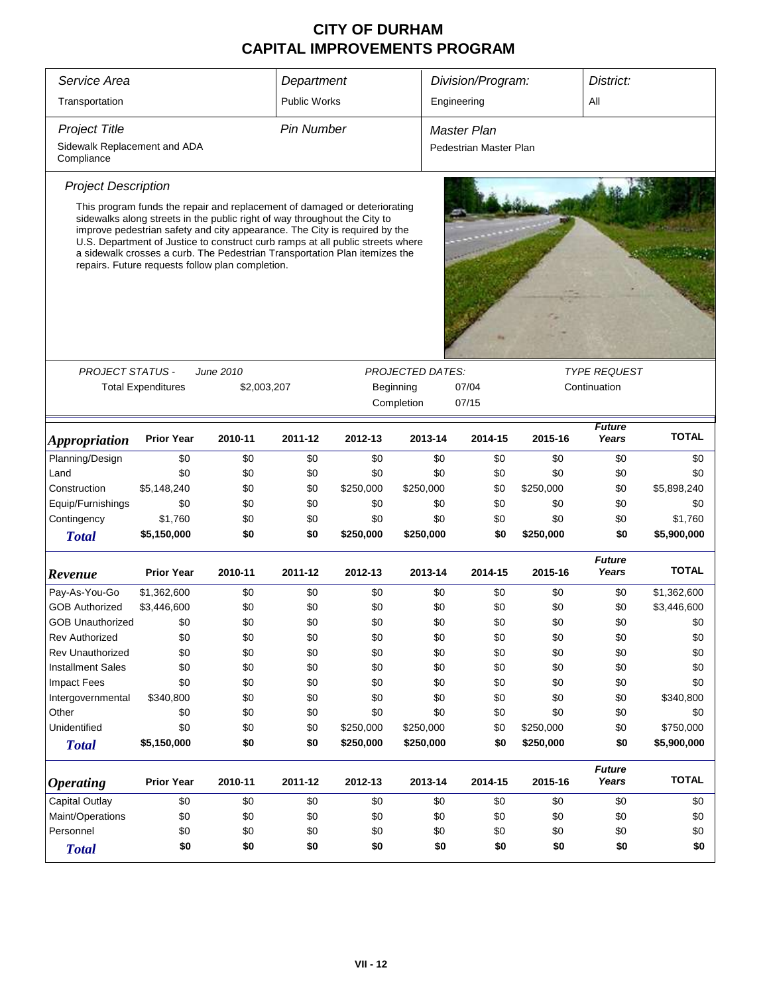| Service Area                                                                     |                                                                                                                                                                                                                                                                                                                                                                                                                                                          |         | Department          |                    |                         | Division/Program:      |           | District:              |              |  |
|----------------------------------------------------------------------------------|----------------------------------------------------------------------------------------------------------------------------------------------------------------------------------------------------------------------------------------------------------------------------------------------------------------------------------------------------------------------------------------------------------------------------------------------------------|---------|---------------------|--------------------|-------------------------|------------------------|-----------|------------------------|--------------|--|
| Transportation                                                                   |                                                                                                                                                                                                                                                                                                                                                                                                                                                          |         | <b>Public Works</b> |                    |                         | Engineering            |           | ΑIΙ                    |              |  |
| <b>Project Title</b>                                                             | <b>Pin Number</b>                                                                                                                                                                                                                                                                                                                                                                                                                                        |         |                     | <b>Master Plan</b> |                         |                        |           |                        |              |  |
| Sidewalk Replacement and ADA<br>Compliance                                       |                                                                                                                                                                                                                                                                                                                                                                                                                                                          |         |                     |                    |                         | Pedestrian Master Plan |           |                        |              |  |
| <b>Project Description</b>                                                       |                                                                                                                                                                                                                                                                                                                                                                                                                                                          |         |                     |                    |                         |                        |           |                        |              |  |
|                                                                                  | This program funds the repair and replacement of damaged or deteriorating<br>sidewalks along streets in the public right of way throughout the City to<br>improve pedestrian safety and city appearance. The City is required by the<br>U.S. Department of Justice to construct curb ramps at all public streets where<br>a sidewalk crosses a curb. The Pedestrian Transportation Plan itemizes the<br>repairs. Future requests follow plan completion. |         |                     |                    |                         |                        |           |                        |              |  |
|                                                                                  |                                                                                                                                                                                                                                                                                                                                                                                                                                                          |         |                     |                    | <b>PROJECTED DATES:</b> |                        |           | <b>TYPE REQUEST</b>    |              |  |
| <b>PROJECT STATUS -</b><br>June 2010<br><b>Total Expenditures</b><br>\$2,003,207 |                                                                                                                                                                                                                                                                                                                                                                                                                                                          |         |                     |                    | Beginning               | 07/04                  |           | Continuation           |              |  |
|                                                                                  |                                                                                                                                                                                                                                                                                                                                                                                                                                                          |         |                     |                    | Completion              | 07/15                  |           |                        |              |  |
| <i><b>Appropriation</b></i>                                                      | <b>Prior Year</b>                                                                                                                                                                                                                                                                                                                                                                                                                                        | 2010-11 | 2011-12             | 2012-13            | 2013-14                 | 2014-15                | 2015-16   | <b>Future</b><br>Years | <b>TOTAL</b> |  |
| Planning/Design                                                                  | \$0                                                                                                                                                                                                                                                                                                                                                                                                                                                      | \$0     | \$0                 | \$0                | \$0                     | \$0                    | \$0       | \$0                    | \$0          |  |
| Land                                                                             | \$0                                                                                                                                                                                                                                                                                                                                                                                                                                                      | \$0     | \$0                 | \$0                | \$0                     | \$0                    | \$0       | \$0                    | \$0          |  |
| Construction                                                                     | \$5,148,240                                                                                                                                                                                                                                                                                                                                                                                                                                              | \$0     | \$0                 | \$250,000          | \$250,000               | \$0                    | \$250,000 | \$0                    | \$5,898,240  |  |
| Equip/Furnishings                                                                | \$0                                                                                                                                                                                                                                                                                                                                                                                                                                                      | \$0     | \$0                 | \$0                | \$0                     | \$0                    | \$0       | \$0                    | \$0          |  |
| Contingency                                                                      | \$1,760                                                                                                                                                                                                                                                                                                                                                                                                                                                  | \$0     | \$0                 | \$0                | \$0                     | \$0                    | \$0       | \$0                    | \$1,760      |  |
| <b>Total</b>                                                                     | \$5,150,000                                                                                                                                                                                                                                                                                                                                                                                                                                              | \$0     | \$0                 | \$250,000          | \$250,000               | \$0                    | \$250,000 | \$0                    | \$5,900,000  |  |
| Revenue                                                                          | <b>Prior Year</b>                                                                                                                                                                                                                                                                                                                                                                                                                                        | 2010-11 | 2011-12             | 2012-13            | 2013-14                 | 2014-15                | 2015-16   | <b>Future</b><br>Years | <b>TOTAL</b> |  |
| Pay-As-You-Go                                                                    | \$1,362,600                                                                                                                                                                                                                                                                                                                                                                                                                                              | \$0     | \$0                 | \$0                | \$0                     | \$0                    | \$0       | \$0                    | \$1,362,600  |  |
| <b>GOB Authorized</b>                                                            | \$3,446,600                                                                                                                                                                                                                                                                                                                                                                                                                                              | \$0     | \$0                 | \$0                | \$0                     | \$0                    | \$0       | \$0                    | \$3,446,600  |  |
| <b>GOB Unauthorized</b>                                                          | \$0                                                                                                                                                                                                                                                                                                                                                                                                                                                      | \$0     | \$0                 | \$0                | \$0                     | \$0                    | \$0       | \$0                    | \$0          |  |
| <b>Rev Authorized</b>                                                            | \$0                                                                                                                                                                                                                                                                                                                                                                                                                                                      | \$0     | \$0                 | \$0                | \$0                     | \$0                    | \$0       | \$0                    | \$0          |  |
| Rev Unauthorized                                                                 | \$0                                                                                                                                                                                                                                                                                                                                                                                                                                                      | \$0     | \$0                 | \$0                | \$0                     | \$0                    | \$0       | \$0                    | \$0          |  |
| <b>Installment Sales</b>                                                         | \$0                                                                                                                                                                                                                                                                                                                                                                                                                                                      | \$0     | \$0                 | \$0                | \$0                     | \$0                    | \$0       | \$0                    | \$0          |  |
| <b>Impact Fees</b>                                                               | \$0                                                                                                                                                                                                                                                                                                                                                                                                                                                      | \$0     | \$0                 | \$0                | \$0                     | \$0                    | \$0       | \$0                    | \$0          |  |
| Intergovernmental                                                                | \$340,800                                                                                                                                                                                                                                                                                                                                                                                                                                                | \$0     | \$0                 | \$0                | \$0                     | \$0                    | \$0       | \$0                    | \$340,800    |  |
| Other                                                                            | \$0                                                                                                                                                                                                                                                                                                                                                                                                                                                      | \$0     | \$0                 | \$0                | \$0                     | \$0                    | \$0       | \$0                    | \$0          |  |
| Unidentified                                                                     | \$0                                                                                                                                                                                                                                                                                                                                                                                                                                                      | \$0     | \$0                 | \$250,000          | \$250,000               | \$0                    | \$250,000 | \$0                    | \$750,000    |  |
| <b>Total</b>                                                                     | \$5,150,000                                                                                                                                                                                                                                                                                                                                                                                                                                              | \$0     | \$0                 | \$250,000          | \$250,000               | \$0                    | \$250,000 | \$0                    | \$5,900,000  |  |
| <b>Operating</b>                                                                 | <b>Prior Year</b>                                                                                                                                                                                                                                                                                                                                                                                                                                        | 2010-11 | 2011-12             | 2012-13            | 2013-14                 | 2014-15                | 2015-16   | <b>Future</b><br>Years | <b>TOTAL</b> |  |
| Capital Outlay                                                                   | \$0                                                                                                                                                                                                                                                                                                                                                                                                                                                      | \$0     | \$0                 | \$0                | \$0                     | \$0                    | \$0       | \$0                    | \$0          |  |
| Maint/Operations                                                                 | \$0                                                                                                                                                                                                                                                                                                                                                                                                                                                      | \$0     | \$0                 | \$0                | \$0                     | \$0                    | \$0       | \$0                    | \$0          |  |
| Personnel                                                                        | \$0                                                                                                                                                                                                                                                                                                                                                                                                                                                      | \$0     | \$0                 | \$0                | \$0                     | \$0                    | \$0       | \$0                    | \$0          |  |
| <b>Total</b>                                                                     | \$0                                                                                                                                                                                                                                                                                                                                                                                                                                                      | \$0     | \$0                 | \$0                | \$0                     | \$0                    | \$0       | \$0                    | \$0          |  |